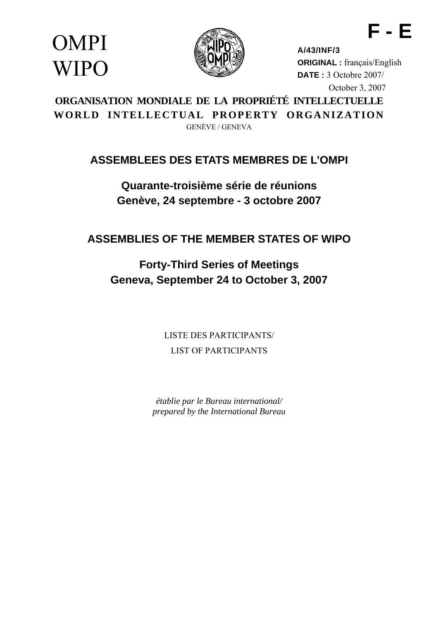OMPI **WIPO** 



**A/43/INF/3 ORIGINAL :** français/English **DATE :** 3 Octobre 2007/ October 3, 2007

**F - E** 

# **ORGANISATION MONDIALE DE LA PROPRIÉTÉ INTELLECTUELLE WORLD INTELLECTUAL PROPERTY ORGANIZATION**  GENÈVE / GENEVA

# **ASSEMBLEES DES ETATS MEMBRES DE L'OMPI**

**Quarante-troisième série de réunions Genève, 24 septembre - 3 octobre 2007** 

**ASSEMBLIES OF THE MEMBER STATES OF WIPO** 

**Forty-Third Series of Meetings Geneva, September 24 to October 3, 2007** 

> LISTE DES PARTICIPANTS/ LIST OF PARTICIPANTS

*établie par le Bureau international/ prepared by the International Bureau*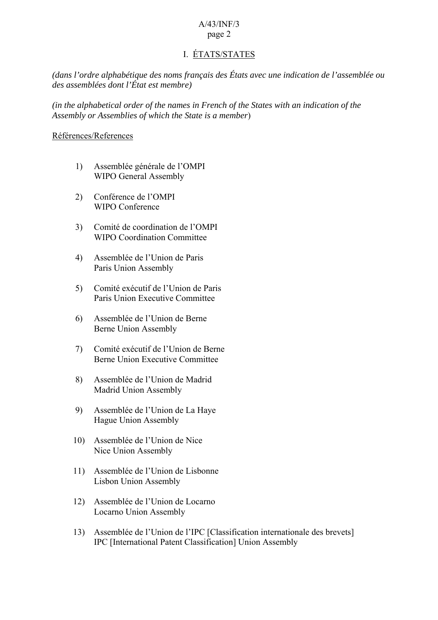### I. ÉTATS/STATES

*(dans l'ordre alphabétique des noms français des États avec une indication de l'assemblée ou des assemblées dont l'État est membre)* 

*(in the alphabetical order of the names in French of the States with an indication of the Assembly or Assemblies of which the State is a member*)

#### Références/References

- 1) Assemblée générale de l'OMPI WIPO General Assembly
- 2) Conférence de l'OMPI WIPO Conference
- 3) Comité de coordination de l'OMPI WIPO Coordination Committee
- 4) Assemblée de l'Union de Paris Paris Union Assembly
- 5) Comité exécutif de l'Union de Paris Paris Union Executive Committee
- 6) Assemblée de l'Union de Berne Berne Union Assembly
- 7) Comité exécutif de l'Union de Berne Berne Union Executive Committee
- 8) Assemblée de l'Union de Madrid Madrid Union Assembly
- 9) Assemblée de l'Union de La Haye Hague Union Assembly
- 10) Assemblée de l'Union de Nice Nice Union Assembly
- 11) Assemblée de l'Union de Lisbonne Lisbon Union Assembly
- 12) Assemblée de l'Union de Locarno Locarno Union Assembly
- 13) Assemblée de l'Union de l'IPC [Classification internationale des brevets] IPC [International Patent Classification] Union Assembly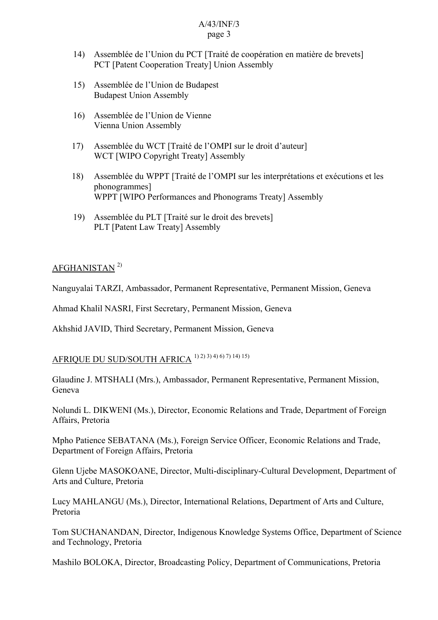- 14) Assemblée de l'Union du PCT [Traité de coopération en matière de brevets] PCT [Patent Cooperation Treaty] Union Assembly
- 15) Assemblée de l'Union de Budapest Budapest Union Assembly
- 16) Assemblée de l'Union de Vienne Vienna Union Assembly
- 17) Assemblée du WCT [Traité de l'OMPI sur le droit d'auteur] WCT [WIPO Copyright Treaty] Assembly
- 18) Assemblée du WPPT [Traité de l'OMPI sur les interprétations et exécutions et les phonogrammes] WPPT [WIPO Performances and Phonograms Treaty] Assembly
- 19) Assemblée du PLT [Traité sur le droit des brevets] PLT [Patent Law Treaty] Assembly

### AFGHANISTAN 2)

Nanguyalai TARZI, Ambassador, Permanent Representative, Permanent Mission, Geneva

Ahmad Khalil NASRI, First Secretary, Permanent Mission, Geneva

Akhshid JAVID, Third Secretary, Permanent Mission, Geneva

# AFRIQUE DU SUD/SOUTH AFRICA 1) 2) 3) 4) 6) 7) 14) 15)

Glaudine J. MTSHALI (Mrs.), Ambassador, Permanent Representative, Permanent Mission, Geneva

Nolundi L. DIKWENI (Ms.), Director, Economic Relations and Trade, Department of Foreign Affairs, Pretoria

Mpho Patience SEBATANA (Ms.), Foreign Service Officer, Economic Relations and Trade, Department of Foreign Affairs, Pretoria

Glenn Ujebe MASOKOANE, Director, Multi-disciplinary-Cultural Development, Department of Arts and Culture, Pretoria

Lucy MAHLANGU (Ms.), Director, International Relations, Department of Arts and Culture, Pretoria

Tom SUCHANANDAN, Director, Indigenous Knowledge Systems Office, Department of Science and Technology, Pretoria

Mashilo BOLOKA, Director, Broadcasting Policy, Department of Communications, Pretoria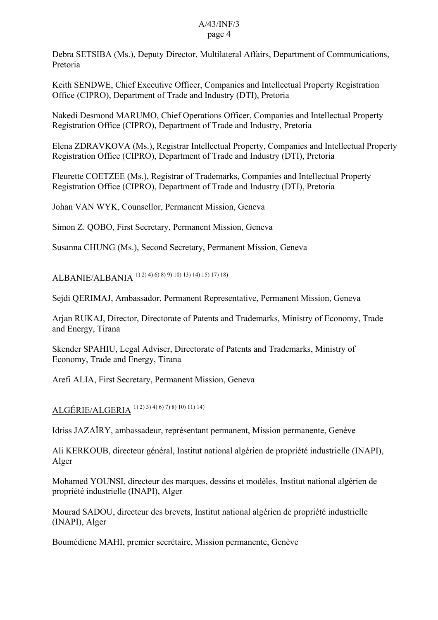Debra SETSIBA (Ms.), Deputy Director, Multilateral Affairs, Department of Communications, Pretoria

Keith SENDWE, Chief Executive Officer, Companies and Intellectual Property Registration Office (CIPRO), Department of Trade and Industry (DTI), Pretoria

Nakedi Desmond MARUMO, Chief Operations Officer, Companies and Intellectual Property Registration Office (CIPRO), Department of Trade and Industry, Pretoria

Elena ZDRAVKOVA (Ms.), Registrar Intellectual Property, Companies and Intellectual Property Registration Office (CIPRO), Department of Trade and Industry (DTI), Pretoria

Fleurette COETZEE (Ms.), Registrar of Trademarks, Companies and Intellectual Property Registration Office (CIPRO), Department of Trade and Industry (DTI), Pretoria

Johan VAN WYK, Counsellor, Permanent Mission, Geneva

Simon Z. QOBO, First Secretary, Permanent Mission, Geneva

Susanna CHUNG (Ms.), Second Secretary, Permanent Mission, Geneva

ALBANIE/ALBANIA 1) 2) 4) 6) 8) 9) 10) 13) 14) 15) 17) 18)

Sejdi QERIMAJ, Ambassador, Permanent Representative, Permanent Mission, Geneva

Arjan RUKAJ, Director, Directorate of Patents and Trademarks, Ministry of Economy, Trade and Energy, Tirana

Skender SPAHIU, Legal Adviser, Directorate of Patents and Trademarks, Ministry of Economy, Trade and Energy, Tirana

Arefi ALIA, First Secretary, Permanent Mission, Geneva

ALGÉRIE/ALGERIA 1) 2) 3) 4) 6) 7) 8) 10) 11) 14)

Idriss JAZAÏRY, ambassadeur, représentant permanent, Mission permanente, Genève

Ali KERKOUB, directeur général, Institut national algérien de propriété industrielle (INAPI), Alger

Mohamed YOUNSI, directeur des marques, dessins et modèles, Institut national algérien de propriété industrielle (INAPI), Alger

Mourad SADOU, directeur des brevets, Institut national algérien de propriété industrielle (INAPI), Alger

Boumédiene MAHI, premier secrétaire, Mission permanente, Genève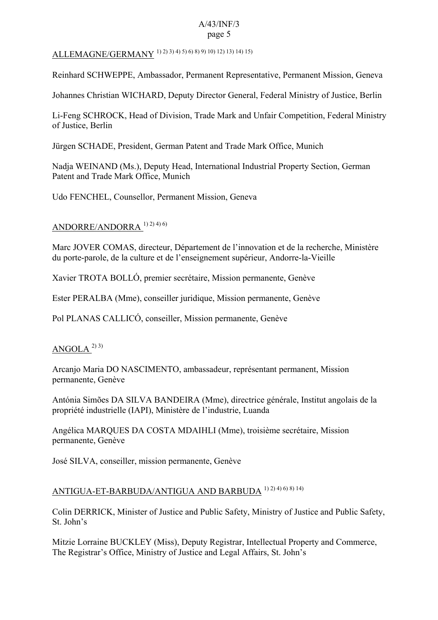# ALLEMAGNE/GERMANY 1) 2) 3) 4) 5) 6) 8) 9) 10) 12) 13) 14) 15)

Reinhard SCHWEPPE, Ambassador, Permanent Representative, Permanent Mission, Geneva

Johannes Christian WICHARD, Deputy Director General, Federal Ministry of Justice, Berlin

Li-Feng SCHROCK, Head of Division, Trade Mark and Unfair Competition, Federal Ministry of Justice, Berlin

Jürgen SCHADE, President, German Patent and Trade Mark Office, Munich

Nadja WEINAND (Ms.), Deputy Head, International Industrial Property Section, German Patent and Trade Mark Office, Munich

Udo FENCHEL, Counsellor, Permanent Mission, Geneva

#### ANDORRE/ANDORRA 1) 2) 4) 6)

Marc JOVER COMAS, directeur, Département de l'innovation et de la recherche, Ministère du porte-parole, de la culture et de l'enseignement supérieur, Andorre-la-Vieille

Xavier TROTA BOLLÓ, premier secrétaire, Mission permanente, Genève

Ester PERALBA (Mme), conseiller juridique, Mission permanente, Genève

Pol PLANAS CALLICÓ, conseiller, Mission permanente, Genève

### ANGOLA  $^{2)}$ <sup>3)</sup>

Arcanjo Maria DO NASCIMENTO, ambassadeur, représentant permanent, Mission permanente, Genève

Antónia Simões DA SILVA BANDEIRA (Mme), directrice générale, Institut angolais de la propriété industrielle (IAPI), Ministère de l'industrie, Luanda

Angélica MARQUES DA COSTA MDAIHLI (Mme), troisième secrétaire, Mission permanente, Genève

José SILVA, conseiller, mission permanente, Genève

# ANTIGUA-ET-BARBUDA/ANTIGUA AND BARBUDA 1) 2) 4) 6) 8) 14)

Colin DERRICK, Minister of Justice and Public Safety, Ministry of Justice and Public Safety, St. John's

Mitzie Lorraine BUCKLEY (Miss), Deputy Registrar, Intellectual Property and Commerce, The Registrar's Office, Ministry of Justice and Legal Affairs, St. John's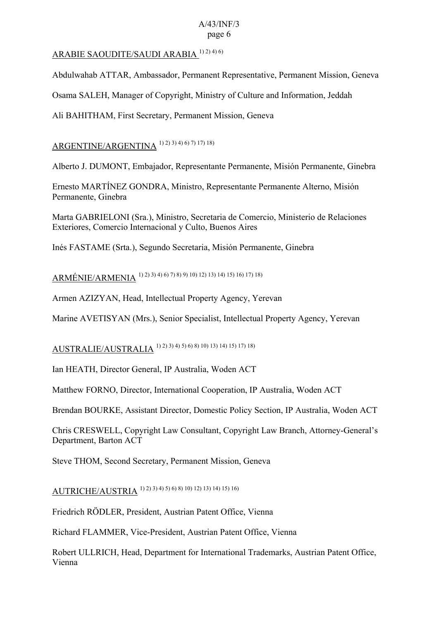### ARABIE SAOUDITE/SAUDI ARABIA 1) 2) 4) 6)

Abdulwahab ATTAR, Ambassador, Permanent Representative, Permanent Mission, Geneva

Osama SALEH, Manager of Copyright, Ministry of Culture and Information, Jeddah

Ali BAHITHAM, First Secretary, Permanent Mission, Geneva

### ARGENTINE/ARGENTINA 1) 2) 3) 4) 6) 7) 17) 18)

Alberto J. DUMONT, Embajador, Representante Permanente, Misión Permanente, Ginebra

Ernesto MARTÍNEZ GONDRA, Ministro, Representante Permanente Alterno, Misión Permanente, Ginebra

Marta GABRIELONI (Sra.), Ministro, Secretaria de Comercio, Ministerio de Relaciones Exteriores, Comercio Internacional y Culto, Buenos Aires

Inés FASTAME (Srta.), Segundo Secretaria, Misión Permanente, Ginebra

# ARMÉNIE/ARMENIA 1) 2) 3) 4) 6) 7) 8) 9) 10) 12) 13) 14) 15) 16) 17) 18)

Armen AZIZYAN, Head, Intellectual Property Agency, Yerevan

Marine AVETISYAN (Mrs.), Senior Specialist, Intellectual Property Agency, Yerevan

# AUSTRALIE/AUSTRALIA 1) 2) 3) 4) 5) 6) 8) 10) 13) 14) 15) 17) 18)

Ian HEATH, Director General, IP Australia, Woden ACT

Matthew FORNO, Director, International Cooperation, IP Australia, Woden ACT

Brendan BOURKE, Assistant Director, Domestic Policy Section, IP Australia, Woden ACT

Chris CRESWELL, Copyright Law Consultant, Copyright Law Branch, Attorney-General's Department, Barton ACT

Steve THOM, Second Secretary, Permanent Mission, Geneva

AUTRICHE/AUSTRIA 1) 2) 3) 4) 5) 6) 8) 10) 12) 13) 14) 15) 16)

Friedrich RÖDLER, President, Austrian Patent Office, Vienna

Richard FLAMMER, Vice-President, Austrian Patent Office, Vienna

Robert ULLRICH, Head, Department for International Trademarks, Austrian Patent Office, Vienna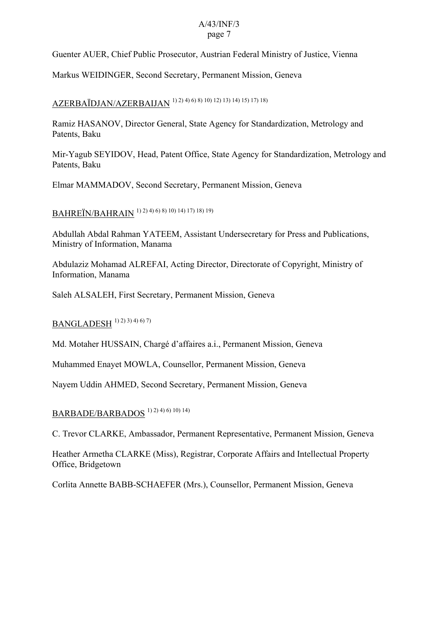Guenter AUER, Chief Public Prosecutor, Austrian Federal Ministry of Justice, Vienna

Markus WEIDINGER, Second Secretary, Permanent Mission, Geneva

# AZERBAÏDJAN/AZERBAIJAN 1) 2) 4) 6) 8) 10) 12) 13) 14) 15) 17) 18)

Ramiz HASANOV, Director General, State Agency for Standardization, Metrology and Patents, Baku

Mir-Yagub SEYIDOV, Head, Patent Office, State Agency for Standardization, Metrology and Patents, Baku

Elmar MAMMADOV, Second Secretary, Permanent Mission, Geneva

BAHREÏN/BAHRAIN 1) 2) 4) 6) 8) 10) 14) 17) 18) 19)

Abdullah Abdal Rahman YATEEM, Assistant Undersecretary for Press and Publications, Ministry of Information, Manama

Abdulaziz Mohamad ALREFAI, Acting Director, Directorate of Copyright, Ministry of Information, Manama

Saleh ALSALEH, First Secretary, Permanent Mission, Geneva

BANGLADESH 1) 2) 3) 4) 6) 7)

Md. Motaher HUSSAIN, Chargé d'affaires a.i., Permanent Mission, Geneva

Muhammed Enayet MOWLA, Counsellor, Permanent Mission, Geneva

Nayem Uddin AHMED, Second Secretary, Permanent Mission, Geneva

## BARBADE/BARBADOS 1) 2) 4) 6) 10) 14)

C. Trevor CLARKE, Ambassador, Permanent Representative, Permanent Mission, Geneva

Heather Armetha CLARKE (Miss), Registrar, Corporate Affairs and Intellectual Property Office, Bridgetown

Corlita Annette BABB-SCHAEFER (Mrs.), Counsellor, Permanent Mission, Geneva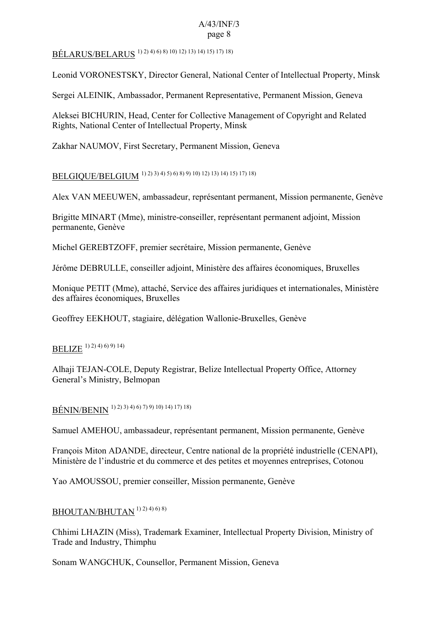BÉLARUS/BELARUS 1) 2) 4) 6) 8) 10) 12) 13) 14) 15) 17) 18)

Leonid VORONESTSKY, Director General, National Center of Intellectual Property, Minsk

Sergei ALEINIK, Ambassador, Permanent Representative, Permanent Mission, Geneva

Aleksei BICHURIN, Head, Center for Collective Management of Copyright and Related Rights, National Center of Intellectual Property, Minsk

Zakhar NAUMOV, First Secretary, Permanent Mission, Geneva

BELGIQUE/BELGIUM 1) 2) 3) 4) 5) 6) 8) 9) 10) 12) 13) 14) 15) 17) 18)

Alex VAN MEEUWEN, ambassadeur, représentant permanent, Mission permanente, Genève

Brigitte MINART (Mme), ministre-conseiller, représentant permanent adjoint, Mission permanente, Genève

Michel GEREBTZOFF, premier secrétaire, Mission permanente, Genève

Jérôme DEBRULLE, conseiller adjoint, Ministère des affaires économiques, Bruxelles

Monique PETIT (Mme), attaché, Service des affaires juridiques et internationales, Ministère des affaires économiques, Bruxelles

Geoffrey EEKHOUT, stagiaire, délégation Wallonie-Bruxelles, Genève

# BELIZE 1) 2) 4) 6) 9) 14)

Alhaji TEJAN-COLE, Deputy Registrar, Belize Intellectual Property Office, Attorney General's Ministry, Belmopan

BÉNIN/BENIN 1) 2) 3) 4) 6) 7) 9) 10) 14) 17) 18)

Samuel AMEHOU, ambassadeur, représentant permanent, Mission permanente, Genève

François Miton ADANDE, directeur, Centre national de la propriété industrielle (CENAPI), Ministère de l'industrie et du commerce et des petites et moyennes entreprises, Cotonou

Yao AMOUSSOU, premier conseiller, Mission permanente, Genève

### BHOUTAN/BHUTAN 1) 2) 4) 6) 8)

Chhimi LHAZIN (Miss), Trademark Examiner, Intellectual Property Division, Ministry of Trade and Industry, Thimphu

Sonam WANGCHUK, Counsellor, Permanent Mission, Geneva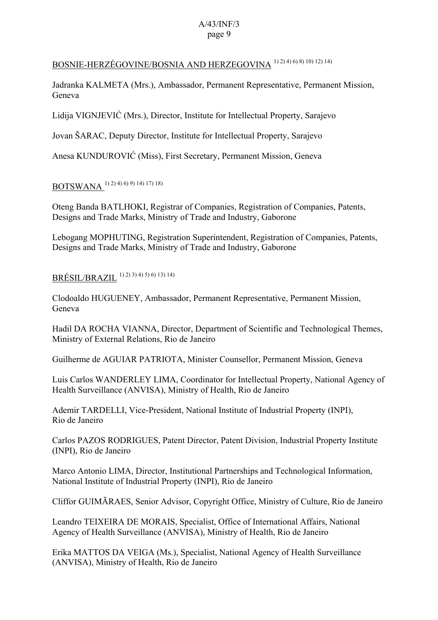## BOSNIE-HERZÉGOVINE/BOSNIA AND HERZEGOVINA 1) 2) 4) 6) 8) 10) 12) 14)

Jadranka KALMETA (Mrs.), Ambassador, Permanent Representative, Permanent Mission, Geneva

Lidija VIGNJEVIĆ (Mrs.), Director, Institute for Intellectual Property, Sarajevo

Jovan ŠARAC, Deputy Director, Institute for Intellectual Property, Sarajevo

Anesa KUNDUROVIĆ (Miss), First Secretary, Permanent Mission, Geneva

## BOTSWANA 1) 2) 4) 6) 9) 14) 17) 18)

Oteng Banda BATLHOKI, Registrar of Companies, Registration of Companies, Patents, Designs and Trade Marks, Ministry of Trade and Industry, Gaborone

Lebogang MOPHUTING, Registration Superintendent, Registration of Companies, Patents, Designs and Trade Marks, Ministry of Trade and Industry, Gaborone

## BRÉSIL/BRAZIL 1) 2) 3) 4) 5) 6) 13) 14)

Clodoaldo HUGUENEY, Ambassador, Permanent Representative, Permanent Mission, Geneva

Hadil DA ROCHA VIANNA, Director, Department of Scientific and Technological Themes, Ministry of External Relations, Rio de Janeiro

Guilherme de AGUIAR PATRIOTA, Minister Counsellor, Permanent Mission, Geneva

Luis Carlos WANDERLEY LIMA, Coordinator for Intellectual Property, National Agency of Health Surveillance (ANVISA), Ministry of Health, Rio de Janeiro

Ademir TARDELLI, Vice-President, National Institute of Industrial Property (INPI), Rio de Janeiro

Carlos PAZOS RODRIGUES, Patent Director, Patent Division, Industrial Property Institute (INPI), Rio de Janeiro

Marco Antonio LIMA, Director, Institutional Partnerships and Technological Information, National Institute of Industrial Property (INPI), Rio de Janeiro

Cliffor GUIMÃRAES, Senior Advisor, Copyright Office, Ministry of Culture, Rio de Janeiro

Leandro TEIXEIRA DE MORAIS, Specialist, Office of International Affairs, National Agency of Health Surveillance (ANVISA), Ministry of Health, Rio de Janeiro

Erika MATTOS DA VEIGA (Ms.), Specialist, National Agency of Health Surveillance (ANVISA), Ministry of Health, Rio de Janeiro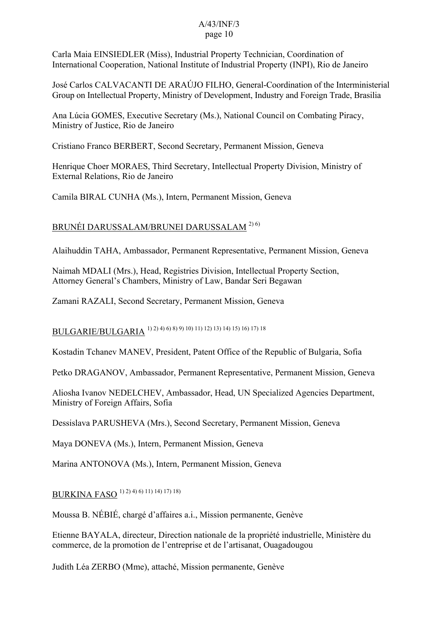Carla Maia EINSIEDLER (Miss), Industrial Property Technician, Coordination of International Cooperation, National Institute of Industrial Property (INPI), Rio de Janeiro

José Carlos CALVACANTI DE ARAÚJO FILHO, General-Coordination of the Interministerial Group on Intellectual Property, Ministry of Development, Industry and Foreign Trade, Brasilia

Ana Lúcia GOMES, Executive Secretary (Ms.), National Council on Combating Piracy, Ministry of Justice, Rio de Janeiro

Cristiano Franco BERBERT, Second Secretary, Permanent Mission, Geneva

Henrique Choer MORAES, Third Secretary, Intellectual Property Division, Ministry of External Relations, Rio de Janeiro

Camila BIRAL CUNHA (Ms.), Intern, Permanent Mission, Geneva

### BRUNÉI DARUSSALAM/BRUNEI DARUSSALAM 2) 6)

Alaihuddin TAHA, Ambassador, Permanent Representative, Permanent Mission, Geneva

Naimah MDALI (Mrs.), Head, Registries Division, Intellectual Property Section, Attorney General's Chambers, Ministry of Law, Bandar Seri Begawan

Zamani RAZALI, Second Secretary, Permanent Mission, Geneva

BULGARIE/BULGARIA 1) 2) 4) 6) 8) 9) 10) 11) 12) 13) 14) 15) 16) 17) 18

Kostadin Tchanev MANEV, President, Patent Office of the Republic of Bulgaria, Sofia

Petko DRAGANOV, Ambassador, Permanent Representative, Permanent Mission, Geneva

Aliosha Ivanov NEDELCHEV, Ambassador, Head, UN Specialized Agencies Department, Ministry of Foreign Affairs, Sofia

Dessislava PARUSHEVA (Mrs.), Second Secretary, Permanent Mission, Geneva

Maya DONEVA (Ms.), Intern, Permanent Mission, Geneva

Marina ANTONOVA (Ms.), Intern, Permanent Mission, Geneva

BURKINA FASO 1) 2) 4) 6) 11) 14) 17) 18)

Moussa B. NÉBIÉ, chargé d'affaires a.i., Mission permanente, Genève

Etienne BAYALA, directeur, Direction nationale de la propriété industrielle, Ministère du commerce, de la promotion de l'entreprise et de l'artisanat, Ouagadougou

Judith Léa ZERBO (Mme), attaché, Mission permanente, Genève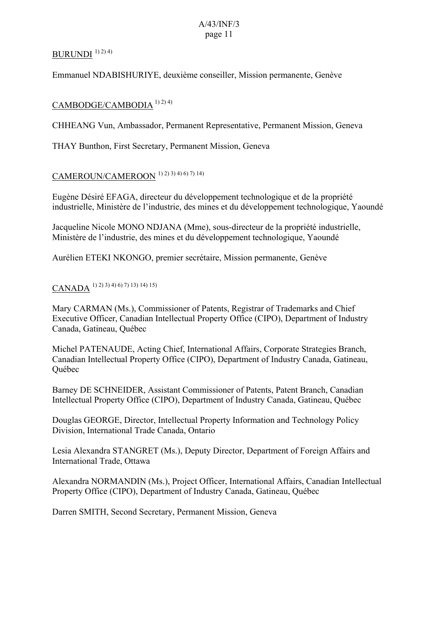### BURUNDI  $1)$  2) 4)

Emmanuel NDABISHURIYE, deuxième conseiller, Mission permanente, Genève

#### CAMBODGE/CAMBODIA 1) 2) 4)

CHHEANG Vun, Ambassador, Permanent Representative, Permanent Mission, Geneva

THAY Bunthon, First Secretary, Permanent Mission, Geneva

# CAMEROUN/CAMEROON 1) 2) 3) 4) 6) 7) 14)

Eugène Désiré EFAGA, directeur du développement technologique et de la propriété industrielle, Ministère de l'industrie, des mines et du développement technologique, Yaoundé

Jacqueline Nicole MONO NDJANA (Mme), sous-directeur de la propriété industrielle, Ministère de l'industrie, des mines et du développement technologique, Yaoundé

Aurélien ETEKI NKONGO, premier secrétaire, Mission permanente, Genève

## CANADA 1) 2) 3) 4) 6) 7) 13) 14) 15)

Mary CARMAN (Ms.), Commissioner of Patents, Registrar of Trademarks and Chief Executive Officer, Canadian Intellectual Property Office (CIPO), Department of Industry Canada, Gatineau, Québec

Michel PATENAUDE, Acting Chief, International Affairs, Corporate Strategies Branch, Canadian Intellectual Property Office (CIPO), Department of Industry Canada, Gatineau, Québec

Barney DE SCHNEIDER, Assistant Commissioner of Patents, Patent Branch, Canadian Intellectual Property Office (CIPO), Department of Industry Canada, Gatineau, Québec

Douglas GEORGE, Director, Intellectual Property Information and Technology Policy Division, International Trade Canada, Ontario

Lesia Alexandra STANGRET (Ms.), Deputy Director, Department of Foreign Affairs and International Trade, Ottawa

Alexandra NORMANDIN (Ms.), Project Officer, International Affairs, Canadian Intellectual Property Office (CIPO), Department of Industry Canada, Gatineau, Québec

Darren SMITH, Second Secretary, Permanent Mission, Geneva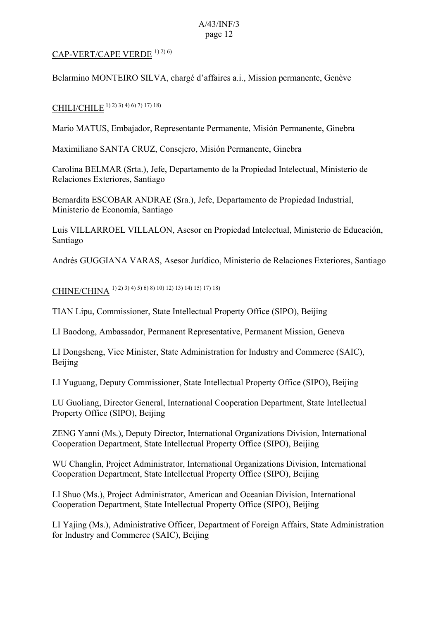### CAP-VERT/CAPE VERDE 1) 2) 6)

Belarmino MONTEIRO SILVA, chargé d'affaires a.i., Mission permanente, Genève

### CHILI/CHILE 1) 2) 3) 4) 6) 7) 17) 18)

Mario MATUS, Embajador, Representante Permanente, Misión Permanente, Ginebra

Maximiliano SANTA CRUZ, Consejero, Misión Permanente, Ginebra

Carolina BELMAR (Srta.), Jefe, Departamento de la Propiedad Intelectual, Ministerio de Relaciones Exteriores, Santiago

Bernardita ESCOBAR ANDRAE (Sra.), Jefe, Departamento de Propiedad Industrial, Ministerio de Economía, Santiago

Luis VILLARROEL VILLALON, Asesor en Propiedad Intelectual, Ministerio de Educación, Santiago

Andrés GUGGIANA VARAS, Asesor Jurídico, Ministerio de Relaciones Exteriores, Santiago

CHINE/CHINA 1) 2) 3) 4) 5) 6) 8) 10) 12) 13) 14) 15) 17) 18)

TIAN Lipu, Commissioner, State Intellectual Property Office (SIPO), Beijing

LI Baodong, Ambassador, Permanent Representative, Permanent Mission, Geneva

LI Dongsheng, Vice Minister, State Administration for Industry and Commerce (SAIC), Beijing

LI Yuguang, Deputy Commissioner, State Intellectual Property Office (SIPO), Beijing

LU Guoliang, Director General, International Cooperation Department, State Intellectual Property Office (SIPO), Beijing

ZENG Yanni (Ms.), Deputy Director, International Organizations Division, International Cooperation Department, State Intellectual Property Office (SIPO), Beijing

WU Changlin, Project Administrator, International Organizations Division, International Cooperation Department, State Intellectual Property Office (SIPO), Beijing

LI Shuo (Ms.), Project Administrator, American and Oceanian Division, International Cooperation Department, State Intellectual Property Office (SIPO), Beijing

LI Yajing (Ms.), Administrative Officer, Department of Foreign Affairs, State Administration for Industry and Commerce (SAIC), Beijing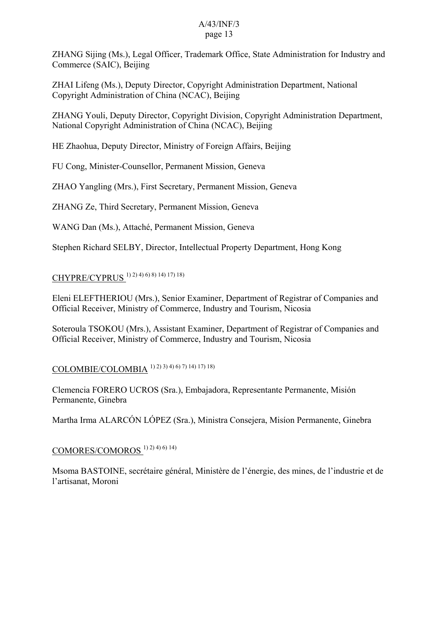ZHANG Sijing (Ms.), Legal Officer, Trademark Office, State Administration for Industry and Commerce (SAIC), Beijing

ZHAI Lifeng (Ms.), Deputy Director, Copyright Administration Department, National Copyright Administration of China (NCAC), Beijing

ZHANG Youli, Deputy Director, Copyright Division, Copyright Administration Department, National Copyright Administration of China (NCAC), Beijing

HE Zhaohua, Deputy Director, Ministry of Foreign Affairs, Beijing

FU Cong, Minister-Counsellor, Permanent Mission, Geneva

ZHAO Yangling (Mrs.), First Secretary, Permanent Mission, Geneva

ZHANG Ze, Third Secretary, Permanent Mission, Geneva

WANG Dan (Ms.), Attaché, Permanent Mission, Geneva

Stephen Richard SELBY, Director, Intellectual Property Department, Hong Kong

# CHYPRE/CYPRUS 1) 2) 4) 6) 8) 14) 17) 18)

Eleni ELEFTHERIOU (Mrs.), Senior Examiner, Department of Registrar of Companies and Official Receiver, Ministry of Commerce, Industry and Tourism, Nicosia

Soteroula TSOKOU (Mrs.), Assistant Examiner, Department of Registrar of Companies and Official Receiver, Ministry of Commerce, Industry and Tourism, Nicosia

COLOMBIE/COLOMBIA 1) 2) 3) 4) 6) 7) 14) 17) 18)

Clemencia FORERO UCROS (Sra.), Embajadora, Representante Permanente, Misión Permanente, Ginebra

Martha Irma ALARCÓN LÓPEZ (Sra.), Ministra Consejera, Misíon Permanente, Ginebra

## COMORES/COMOROS 1) 2) 4) 6) 14)

Msoma BASTOINE, secrétaire général, Ministère de l'énergie, des mines, de l'industrie et de l'artisanat, Moroni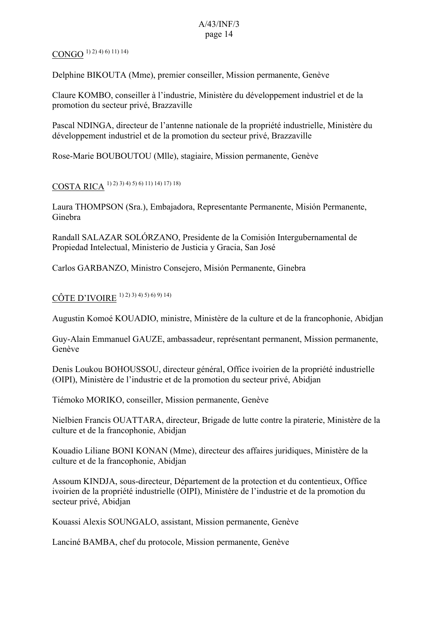## $\text{CONGO}^{(1)\,2)}$  4) 6) 11) 14)

Delphine BIKOUTA (Mme), premier conseiller, Mission permanente, Genève

Claure KOMBO, conseiller à l'industrie, Ministère du développement industriel et de la promotion du secteur privé, Brazzaville

Pascal NDINGA, directeur de l'antenne nationale de la propriété industrielle, Ministère du développement industriel et de la promotion du secteur privé, Brazzaville

Rose-Marie BOUBOUTOU (Mlle), stagiaire, Mission permanente, Genève

## COSTA RICA 1) 2) 3) 4) 5) 6) 11) 14) 17) 18)

Laura THOMPSON (Sra.), Embajadora, Representante Permanente, Misión Permanente, Ginebra

Randall SALAZAR SOLÓRZANO, Presidente de la Comisión Intergubernamental de Propiedad Intelectual, Ministerio de Justicia y Gracia, San José

Carlos GARBANZO, Ministro Consejero, Misión Permanente, Ginebra

## CÔTE D'IVOIRE 1) 2) 3) 4) 5) 6) 9) 14)

Augustin Komoé KOUADIO, ministre, Ministère de la culture et de la francophonie, Abidjan

Guy-Alain Emmanuel GAUZE, ambassadeur, représentant permanent, Mission permanente, Genève

Denis Loukou BOHOUSSOU, directeur général, Office ivoirien de la propriété industrielle (OIPI), Ministère de l'industrie et de la promotion du secteur privé, Abidjan

Tiémoko MORIKO, conseiller, Mission permanente, Genève

Nielbien Francis OUATTARA, directeur, Brigade de lutte contre la piraterie, Ministère de la culture et de la francophonie, Abidjan

Kouadio Liliane BONI KONAN (Mme), directeur des affaires juridiques, Ministère de la culture et de la francophonie, Abidjan

Assoum KINDJA, sous-directeur, Département de la protection et du contentieux, Office ivoirien de la propriété industrielle (OIPI), Ministère de l'industrie et de la promotion du secteur privé, Abidjan

Kouassi Alexis SOUNGALO, assistant, Mission permanente, Genève

Lanciné BAMBA, chef du protocole, Mission permanente, Genève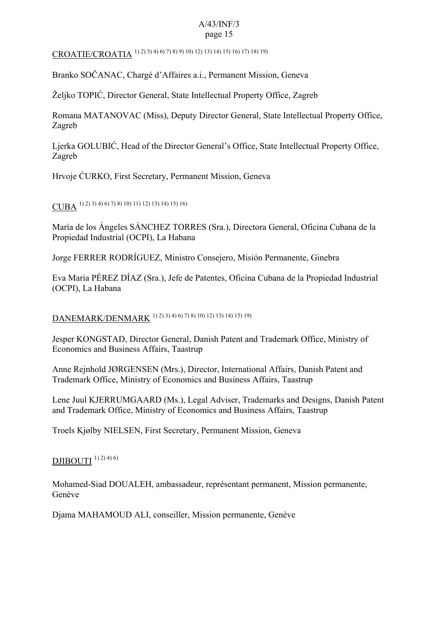CROATIE/CROATIA 1) 2) 3) 4) 6) 7) 8) 9) 10) 12) 13) 14) 15) 16) 17) 18) 19)

Branko SOČANAC, Chargé d'Affaires a.i., Permanent Mission, Geneva

Željko TOPIĆ, Director General, State Intellectual Property Office, Zagreb

Romana MATANOVAC (Miss), Deputy Director General, State Intellectual Property Office, Zagreb

Ljerka GOLUBIĆ, Head of the Director General's Office, State Intellectual Property Office, Zagreb

Hrvoje ĆURKO, First Secretary, Permanent Mission, Geneva

CUBA 1) 2) 3) 4) 6) 7) 8) 10) 11) 12) 13) 14) 15) 16)

María de los Ángeles SÁNCHEZ TORRES (Sra.), Directora General, Oficina Cubana de la Propiedad Industrial (OCPI), La Habana

Jorge FERRER RODRÍGUEZ, Ministro Consejero, Misión Permanente, Ginebra

Eva María PÉREZ DÍAZ (Sra.), Jefe de Patentes, Oficina Cubana de la Propiedad Industrial (OCPI), La Habana

DANEMARK/DENMARK 1) 2) 3) 4) 6) 7) 8) 10) 12) 13) 14) 15) 19)

Jesper KONGSTAD, Director General, Danish Patent and Trademark Office, Ministry of Economics and Business Affairs, Taastrup

Anne Reinhold JØRGENSEN (Mrs.), Director, International Affairs, Danish Patent and Trademark Office, Ministry of Economics and Business Affairs, Taastrup

Lene Juul KJERRUMGAARD (Ms.), Legal Adviser, Trademarks and Designs, Danish Patent and Trademark Office, Ministry of Economics and Business Affairs, Taastrup

Troels Kjølby NIELSEN, First Secretary, Permanent Mission, Geneva

#### DJIBOUTI  $^{(1) (2) (4) (6)}$

Mohamed-Siad DOUALEH, ambassadeur, représentant permanent, Mission permanente, Genève

Djama MAHAMOUD ALI, conseiller, Mission permanente, Genève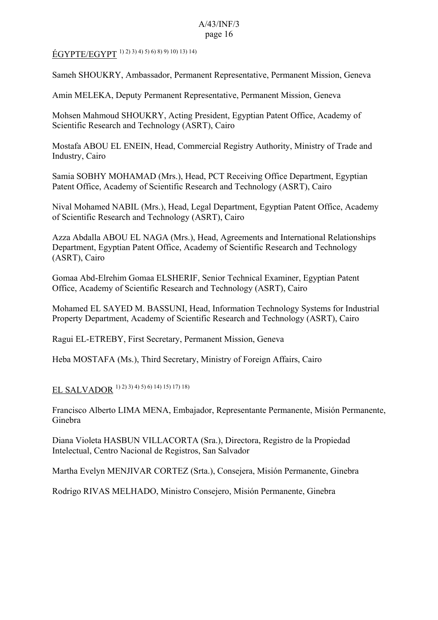ÉGYPTE/EGYPT 1) 2) 3) 4) 5) 6) 8) 9) 10) 13) 14)

Sameh SHOUKRY, Ambassador, Permanent Representative, Permanent Mission, Geneva

Amin MELEKA, Deputy Permanent Representative, Permanent Mission, Geneva

Mohsen Mahmoud SHOUKRY, Acting President, Egyptian Patent Office, Academy of Scientific Research and Technology (ASRT), Cairo

Mostafa ABOU EL ENEIN, Head, Commercial Registry Authority, Ministry of Trade and Industry, Cairo

Samia SOBHY MOHAMAD (Mrs.), Head, PCT Receiving Office Department, Egyptian Patent Office, Academy of Scientific Research and Technology (ASRT), Cairo

Nival Mohamed NABIL (Mrs.), Head, Legal Department, Egyptian Patent Office, Academy of Scientific Research and Technology (ASRT), Cairo

Azza Abdalla ABOU EL NAGA (Mrs.), Head, Agreements and International Relationships Department, Egyptian Patent Office, Academy of Scientific Research and Technology (ASRT), Cairo

Gomaa Abd-Elrehim Gomaa ELSHERIF, Senior Technical Examiner, Egyptian Patent Office, Academy of Scientific Research and Technology (ASRT), Cairo

Mohamed EL SAYED M. BASSUNI, Head, Information Technology Systems for Industrial Property Department, Academy of Scientific Research and Technology (ASRT), Cairo

Ragui EL-ETREBY, First Secretary, Permanent Mission, Geneva

Heba MOSTAFA (Ms.), Third Secretary, Ministry of Foreign Affairs, Cairo

EL SALVADOR 1) 2) 3) 4) 5) 6) 14) 15) 17) 18)

Francisco Alberto LIMA MENA, Embajador, Representante Permanente, Misión Permanente, Ginebra

Diana Violeta HASBUN VILLACORTA (Sra.), Directora, Registro de la Propiedad Intelectual, Centro Nacional de Registros, San Salvador

Martha Evelyn MENJIVAR CORTEZ (Srta.), Consejera, Misión Permanente, Ginebra

Rodrigo RIVAS MELHADO, Ministro Consejero, Misión Permanente, Ginebra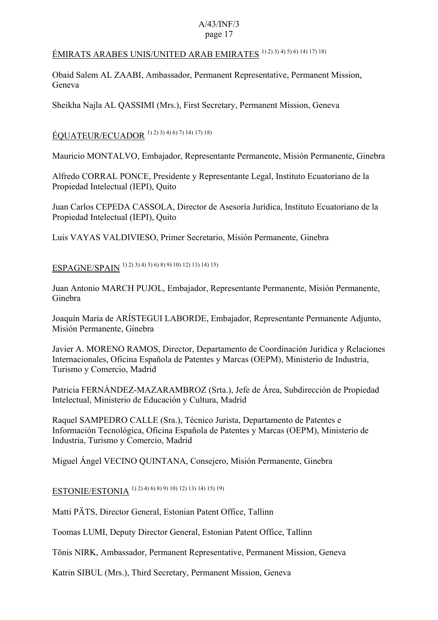## ÉMIRATS ARABES UNIS/UNITED ARAB EMIRATES 1) 2) 3) 4) 5) 6) 14) 17) 18)

Obaid Salem AL ZAABI, Ambassador, Permanent Representative, Permanent Mission, Geneva

Sheikha Najla AL QASSIMI (Mrs.), First Secretary, Permanent Mission, Geneva

# ÉQUATEUR/ECUADOR 1) 2) 3) 4) 6) 7) 14) 17) 18)

Mauricio MONTALVO, Embajador, Representante Permanente, Misión Permanente, Ginebra

Alfredo CORRAL PONCE, Presidente y Representante Legal, Instituto Ecuatoriano de la Propiedad Intelectual (IEPI), Quito

Juan Carlos CEPEDA CASSOLA, Director de Asesoría Jurídica, Instituto Ecuatoriano de la Propiedad Intelectual (IEPI), Quito

Luis VAYAS VALDIVIESO, Primer Secretario, Misión Permanente, Ginebra

ESPAGNE/SPAIN 1) 2) 3) 4) 5) 6) 8) 9) 10) 12) 13) 14) 15)

Juan Antonio MARCH PUJOL, Embajador, Representante Permanente, Misión Permanente, Ginebra

Joaquín María de ARÍSTEGUI LABORDE, Embajador, Representante Permanente Adjunto, Misión Permanente, Ginebra

Javier A. MORENO RAMOS, Director, Departamento de Coordinación Jurídica y Relaciones Internacionales, Oficina Española de Patentes y Marcas (OEPM), Ministerio de Industria, Turismo y Comercio, Madrid

Patricia FERNÁNDEZ-MAZARAMBROZ (Srta.), Jefe de Área, Subdirección de Propiedad Intelectual, Ministerio de Educación y Cultura, Madrid

Raquel SAMPEDRO CALLE (Sra.), Técnico Jurista, Departamento de Patentes e Información Tecnológica, Oficina Española de Patentes y Marcas (OEPM), Ministerio de Industria, Turismo y Comercio, Madrid

Miguel Ángel VECINO QUINTANA, Consejero, Misión Permanente, Ginebra

# ESTONIE/ESTONIA 1) 2) 4) 6) 8) 9) 10) 12) 13) 14) 15) 19)

Matti PÄTS, Director General, Estonian Patent Office, Tallinn

Toomas LUMI, Deputy Director General, Estonian Patent Office, Tallinn

Tōnis NIRK, Ambassador, Permanent Representative, Permanent Mission, Geneva

Katrin SIBUL (Mrs.), Third Secretary, Permanent Mission, Geneva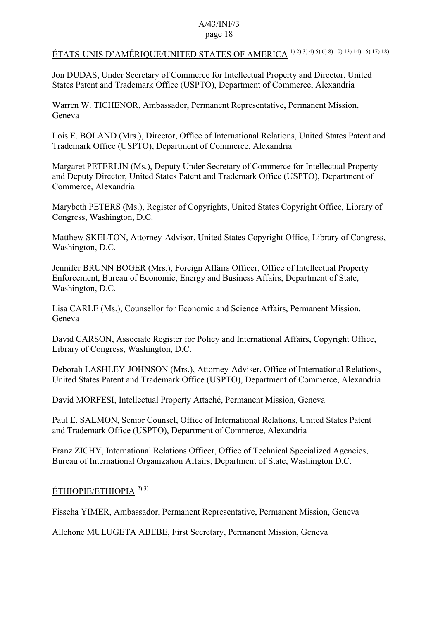# ÉTATS-UNIS D'AMÉRIQUE/UNITED STATES OF AMERICA 1) 2) 3) 4) 5) 6) 8) 10) 13) 14) 15) 17) 18)

Jon DUDAS, Under Secretary of Commerce for Intellectual Property and Director, United States Patent and Trademark Office (USPTO), Department of Commerce, Alexandria

Warren W. TICHENOR, Ambassador, Permanent Representative, Permanent Mission, Geneva

Lois E. BOLAND (Mrs.), Director, Office of International Relations, United States Patent and Trademark Office (USPTO), Department of Commerce, Alexandria

Margaret PETERLIN (Ms.), Deputy Under Secretary of Commerce for Intellectual Property and Deputy Director, United States Patent and Trademark Office (USPTO), Department of Commerce, Alexandria

Marybeth PETERS (Ms.), Register of Copyrights, United States Copyright Office, Library of Congress, Washington, D.C.

Matthew SKELTON, Attorney-Advisor, United States Copyright Office, Library of Congress, Washington, D.C.

Jennifer BRUNN BOGER (Mrs.), Foreign Affairs Officer, Office of Intellectual Property Enforcement, Bureau of Economic, Energy and Business Affairs, Department of State, Washington, D.C.

Lisa CARLE (Ms.), Counsellor for Economic and Science Affairs, Permanent Mission, Geneva

David CARSON, Associate Register for Policy and International Affairs, Copyright Office, Library of Congress, Washington, D.C.

Deborah LASHLEY-JOHNSON (Mrs.), Attorney-Adviser, Office of International Relations, United States Patent and Trademark Office (USPTO), Department of Commerce, Alexandria

David MORFESI, Intellectual Property Attaché, Permanent Mission, Geneva

Paul E. SALMON, Senior Counsel, Office of International Relations, United States Patent and Trademark Office (USPTO), Department of Commerce, Alexandria

Franz ZICHY, International Relations Officer, Office of Technical Specialized Agencies, Bureau of International Organization Affairs, Department of State, Washington D.C.

### ÉTHIOPIE/ETHIOPIA 2) 3)

Fisseha YIMER, Ambassador, Permanent Representative, Permanent Mission, Geneva

Allehone MULUGETA ABEBE, First Secretary, Permanent Mission, Geneva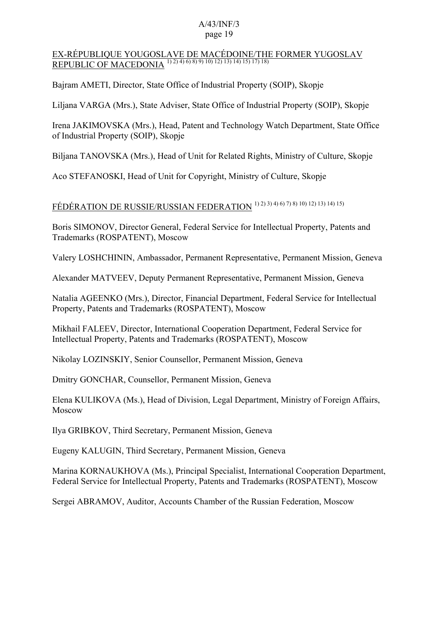#### EX-RÉPUBLIQUE YOUGOSLAVE DE MACÉDOINE/THE FORMER YUGOSLAV REPUBLIC OF MACEDONIA 1) 2) 4) 6) 8) 9) 10) 12) 13) 14) 15) 17) 18)

Bajram AMETI, Director, State Office of Industrial Property (SOIP), Skopje

Liljana VARGA (Mrs.), State Adviser, State Office of Industrial Property (SOIP), Skopje

Irena JAKIMOVSKA (Mrs.), Head, Patent and Technology Watch Department, State Office of Industrial Property (SOIP), Skopje

Biljana TANOVSKA (Mrs.), Head of Unit for Related Rights, Ministry of Culture, Skopje

Aco STEFANOSKI, Head of Unit for Copyright, Ministry of Culture, Skopje

# FÉDÉRATION DE RUSSIE/RUSSIAN FEDERATION 1) 2) 3) 4) 6) 7) 8) 10) 12) 13) 14) 15)

Boris SIMONOV, Director General, Federal Service for Intellectual Property, Patents and Trademarks (ROSPATENT), Moscow

Valery LOSHCHININ, Ambassador, Permanent Representative, Permanent Mission, Geneva

Alexander MATVEEV, Deputy Permanent Representative, Permanent Mission, Geneva

Natalia AGEENKO (Mrs.), Director, Financial Department, Federal Service for Intellectual Property, Patents and Trademarks (ROSPATENT), Moscow

Mikhail FALEEV, Director, International Cooperation Department, Federal Service for Intellectual Property, Patents and Trademarks (ROSPATENT), Moscow

Nikolay LOZINSKIY, Senior Counsellor, Permanent Mission, Geneva

Dmitry GONCHAR, Counsellor, Permanent Mission, Geneva

Elena KULIKOVA (Ms.), Head of Division, Legal Department, Ministry of Foreign Affairs, Moscow

Ilya GRIBKOV, Third Secretary, Permanent Mission, Geneva

Eugeny KALUGIN, Third Secretary, Permanent Mission, Geneva

Marina KORNAUKHOVA (Ms.), Principal Specialist, International Cooperation Department, Federal Service for Intellectual Property, Patents and Trademarks (ROSPATENT), Moscow

Sergei ABRAMOV, Auditor, Accounts Chamber of the Russian Federation, Moscow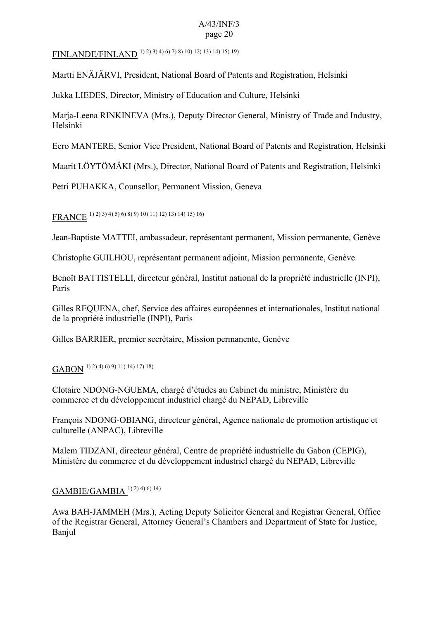FINLANDE/FINLAND 1) 2) 3) 4) 6) 7) 8) 10) 12) 13) 14) 15) 19)

Martti ENÄJÄRVI, President, National Board of Patents and Registration, Helsinki

Jukka LIEDES, Director, Ministry of Education and Culture, Helsinki

Marja-Leena RINKINEVA (Mrs.), Deputy Director General, Ministry of Trade and Industry, Helsinki

Eero MANTERE, Senior Vice President, National Board of Patents and Registration, Helsinki

Maarit LÖYTÖMÄKI (Mrs.), Director, National Board of Patents and Registration, Helsinki

Petri PUHAKKA, Counsellor, Permanent Mission, Geneva

FRANCE 1) 2) 3) 4) 5) 6) 8) 9) 10) 11) 12) 13) 14) 15) 16)

Jean-Baptiste MATTEI, ambassadeur, représentant permanent, Mission permanente, Genève

Christophe GUILHOU, représentant permanent adjoint, Mission permanente, Genève

Benoît BATTISTELLI, directeur général, Institut national de la propriété industrielle (INPI), Paris

Gilles REQUENA, chef, Service des affaires européennes et internationales, Institut national de la propriété industrielle (INPI), Paris

Gilles BARRIER, premier secrétaire, Mission permanente, Genève

 $\text{GABON}$ <sup>1) 2) 4) 6) 9) 11) 14) 17) 18)</sup>

Clotaire NDONG-NGUEMA, chargé d'études au Cabinet du ministre, Ministère du commerce et du développement industriel chargé du NEPAD, Libreville

François NDONG-OBIANG, directeur général, Agence nationale de promotion artistique et culturelle (ANPAC), Libreville

Malem TIDZANI, directeur général, Centre de propriété industrielle du Gabon (CEPIG), Ministère du commerce et du développement industriel chargé du NEPAD, Libreville

# GAMBIE/GAMBIA 1) 2) 4) 6) 14)

Awa BAH-JAMMEH (Mrs.), Acting Deputy Solicitor General and Registrar General, Office of the Registrar General, Attorney General's Chambers and Department of State for Justice, Banjul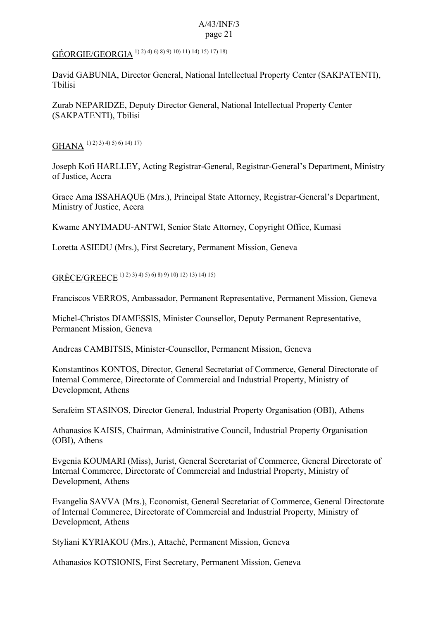## GÉORGIE/GEORGIA 1) 2) 4) 6) 8) 9) 10) 11) 14) 15) 17) 18)

David GABUNIA, Director General, National Intellectual Property Center (SAKPATENTI), Tbilisi

Zurab NEPARIDZE, Deputy Director General, National Intellectual Property Center (SAKPATENTI), Tbilisi

GHANA 1) 2) 3) 4) 5) 6) 14) 17)

Joseph Kofi HARLLEY, Acting Registrar-General, Registrar-General's Department, Ministry of Justice, Accra

Grace Ama ISSAHAQUE (Mrs.), Principal State Attorney, Registrar-General's Department, Ministry of Justice, Accra

Kwame ANYIMADU-ANTWI, Senior State Attorney, Copyright Office, Kumasi

Loretta ASIEDU (Mrs.), First Secretary, Permanent Mission, Geneva

GRÈCE/GREECE 1) 2) 3) 4) 5) 6) 8) 9) 10) 12) 13) 14) 15)

Franciscos VERROS, Ambassador, Permanent Representative, Permanent Mission, Geneva

Michel-Christos DIAMESSIS, Minister Counsellor, Deputy Permanent Representative, Permanent Mission, Geneva

Andreas CAMBITSIS, Minister-Counsellor, Permanent Mission, Geneva

Konstantinos KONTOS, Director, General Secretariat of Commerce, General Directorate of Internal Commerce, Directorate of Commercial and Industrial Property, Ministry of Development, Athens

Serafeim STASINOS, Director General, Industrial Property Organisation (OBI), Athens

Athanasios KAISIS, Chairman, Administrative Council, Industrial Property Organisation (OBI), Athens

Evgenia KOUMARI (Miss), Jurist, General Secretariat of Commerce, General Directorate of Internal Commerce, Directorate of Commercial and Industrial Property, Ministry of Development, Athens

Evangelia SAVVA (Mrs.), Economist, General Secretariat of Commerce, General Directorate of Internal Commerce, Directorate of Commercial and Industrial Property, Ministry of Development, Athens

Styliani KYRIAKOU (Mrs.), Attaché, Permanent Mission, Geneva

Athanasios KOTSIONIS, First Secretary, Permanent Mission, Geneva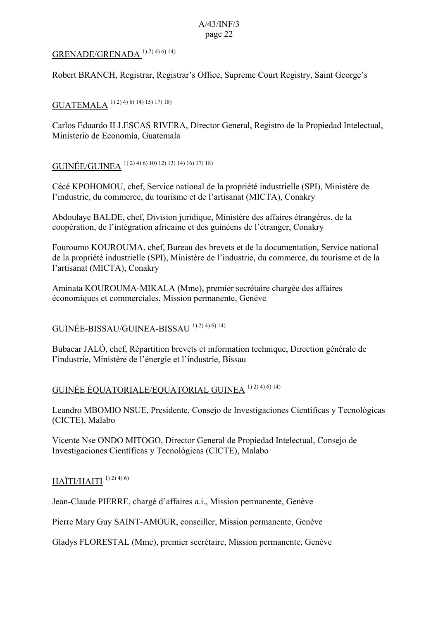### GRENADE/GRENADA<sup>1) 2) 4) 6) 14)</sup>

Robert BRANCH, Registrar, Registrar's Office, Supreme Court Registry, Saint George's

## GUATEMALA 1) 2) 4) 6) 14) 15) 17) 18)

Carlos Eduardo ILLESCAS RIVERA, Director General, Registro de la Propiedad Intelectual, Ministerio de Economía, Guatemala

# GUINÉE/GUINEA 1) 2) 4) 6) 10) 12) 13) 14) 16) 17) 18)

Cécé KPOHOMOU, chef, Service national de la propriété industrielle (SPI), Ministère de l'industrie, du commerce, du tourisme et de l'artisanat (MICTA), Conakry

Abdoulaye BALDE, chef, Division juridique, Ministère des affaires étrangères, de la coopération, de l'intégration africaine et des guinéens de l'étranger, Conakry

Fouroumo KOUROUMA, chef, Bureau des brevets et de la documentation, Service national de la propriété industrielle (SPI), Ministère de l'industrie, du commerce, du tourisme et de la l'artisanat (MICTA), Conakry

Aminata KOUROUMA-MIKALA (Mme), premier secrétaire chargée des affaires économiques et commerciales, Mission permanente, Genève

## GUINÉE-BISSAU/GUINEA-BISSAU 1) 2) 4) 6) 14)

Bubacar JALÓ, chef, Répartition brevets et information technique, Direction générale de l'industrie, Ministère de l'énergie et l'industrie, Bissau

### GUINÉE ÉQUATORIALE/EQUATORIAL GUINEA 1) 2) 4) 6) 14)

Leandro MBOMIO NSUE, Presidente, Consejo de Investigaciones Científicas y Tecnológicas (CICTE), Malabo

Vicente Nse ONDO MITOGO, Director General de Propiedad Intelectual, Consejo de Investigaciones Científicas y Tecnológicas (CICTE), Malabo

### $HA^T I/HA^T I^{(1) (2) (4) (6)}$

Jean-Claude PIERRE, chargé d'affaires a.i., Mission permanente, Genève

Pierre Mary Guy SAINT-AMOUR, conseiller, Mission permanente, Genève

Gladys FLORESTAL (Mme), premier secrétaire, Mission permanente, Genève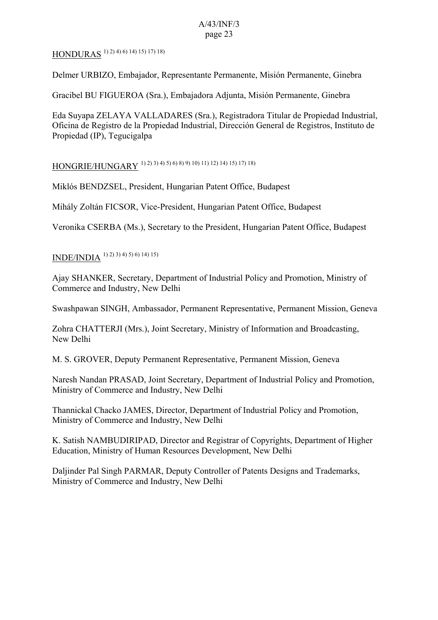# HONDURAS 1) 2) 4) 6) 14) 15) 17) 18)

Delmer URBIZO, Embajador, Representante Permanente, Misión Permanente, Ginebra

Gracibel BU FIGUEROA (Sra.), Embajadora Adjunta, Misión Permanente, Ginebra

Eda Suyapa ZELAYA VALLADARES (Sra.), Registradora Titular de Propiedad Industrial, Oficina de Registro de la Propiedad Industrial, Dirección General de Registros, Instituto de Propiedad (IP), Tegucigalpa

HONGRIE/HUNGARY 1) 2) 3) 4) 5) 6) 8) 9) 10) 11) 12) 14) 15) 17) 18)

Miklós BENDZSEL, President, Hungarian Patent Office, Budapest

Mihály Zoltán FICSOR, Vice-President, Hungarian Patent Office, Budapest

Veronika CSERBA (Ms.), Secretary to the President, Hungarian Patent Office, Budapest

INDE/INDIA 1) 2) 3) 4) 5) 6) 14) 15)

Ajay SHANKER, Secretary, Department of Industrial Policy and Promotion, Ministry of Commerce and Industry, New Delhi

Swashpawan SINGH, Ambassador, Permanent Representative, Permanent Mission, Geneva

Zohra CHATTERJI (Mrs.), Joint Secretary, Ministry of Information and Broadcasting, New Delhi

M. S. GROVER, Deputy Permanent Representative, Permanent Mission, Geneva

Naresh Nandan PRASAD, Joint Secretary, Department of Industrial Policy and Promotion, Ministry of Commerce and Industry, New Delhi

Thannickal Chacko JAMES, Director, Department of Industrial Policy and Promotion, Ministry of Commerce and Industry, New Delhi

K. Satish NAMBUDIRIPAD, Director and Registrar of Copyrights, Department of Higher Education, Ministry of Human Resources Development, New Delhi

Daljinder Pal Singh PARMAR, Deputy Controller of Patents Designs and Trademarks, Ministry of Commerce and Industry, New Delhi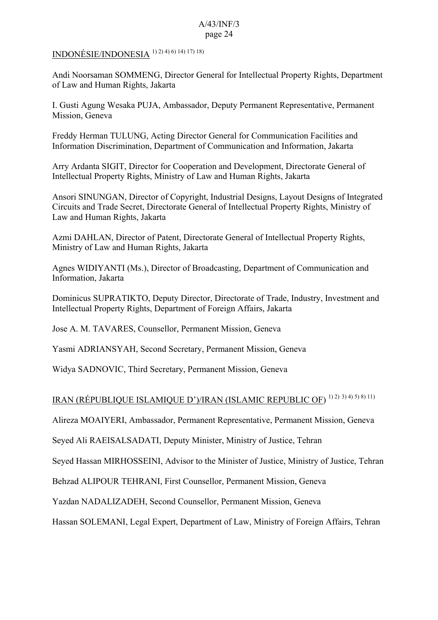INDONÉSIE/INDONESIA 1) 2) 4) 6) 14) 17) 18)

Andi Noorsaman SOMMENG, Director General for Intellectual Property Rights, Department of Law and Human Rights, Jakarta

I. Gusti Agung Wesaka PUJA, Ambassador, Deputy Permanent Representative, Permanent Mission, Geneva

Freddy Herman TULUNG, Acting Director General for Communication Facilities and Information Discrimination, Department of Communication and Information, Jakarta

Arry Ardanta SIGIT, Director for Cooperation and Development, Directorate General of Intellectual Property Rights, Ministry of Law and Human Rights, Jakarta

Ansori SINUNGAN, Director of Copyright, Industrial Designs, Layout Designs of Integrated Circuits and Trade Secret, Directorate General of Intellectual Property Rights, Ministry of Law and Human Rights, Jakarta

Azmi DAHLAN, Director of Patent, Directorate General of Intellectual Property Rights, Ministry of Law and Human Rights, Jakarta

Agnes WIDIYANTI (Ms.), Director of Broadcasting, Department of Communication and Information, Jakarta

Dominicus SUPRATIKTO, Deputy Director, Directorate of Trade, Industry, Investment and Intellectual Property Rights, Department of Foreign Affairs, Jakarta

Jose A. M. TAVARES, Counsellor, Permanent Mission, Geneva

Yasmi ADRIANSYAH, Second Secretary, Permanent Mission, Geneva

Widya SADNOVIC, Third Secretary, Permanent Mission, Geneva

# IRAN (RÉPUBLIQUE ISLAMIQUE D')/IRAN (ISLAMIC REPUBLIC OF) 1) 2) 3) 4) 5) 8) 11)

Alireza MOAIYERI, Ambassador, Permanent Representative, Permanent Mission, Geneva

Seyed Ali RAEISALSADATI, Deputy Minister, Ministry of Justice, Tehran

Seyed Hassan MIRHOSSEINI, Advisor to the Minister of Justice, Ministry of Justice, Tehran

Behzad ALIPOUR TEHRANI, First Counsellor, Permanent Mission, Geneva

Yazdan NADALIZADEH, Second Counsellor, Permanent Mission, Geneva

Hassan SOLEMANI, Legal Expert, Department of Law, Ministry of Foreign Affairs, Tehran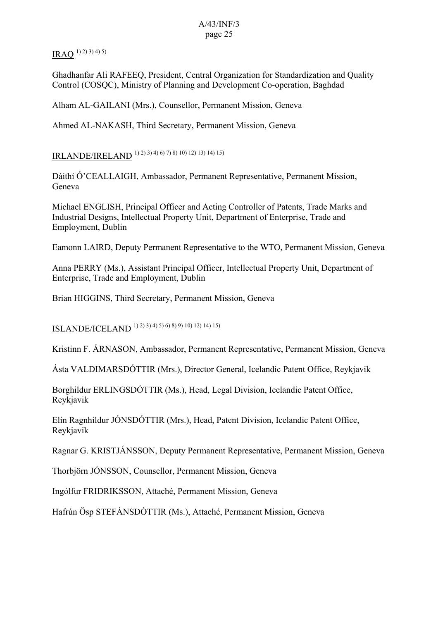$IRAO$ <sup>1) 2) 3) 4) 5)</sup>

Ghadhanfar Ali RAFEEQ, President, Central Organization for Standardization and Quality Control (COSQC), Ministry of Planning and Development Co-operation, Baghdad

Alham AL-GAILANI (Mrs.), Counsellor, Permanent Mission, Geneva

Ahmed AL-NAKASH, Third Secretary, Permanent Mission, Geneva

IRLANDE/IRELAND 1) 2) 3) 4) 6) 7) 8) 10) 12) 13) 14) 15)

Dáithí Ó'CEALLAIGH, Ambassador, Permanent Representative, Permanent Mission, Geneva

Michael ENGLISH, Principal Officer and Acting Controller of Patents, Trade Marks and Industrial Designs, Intellectual Property Unit, Department of Enterprise, Trade and Employment, Dublin

Eamonn LAIRD, Deputy Permanent Representative to the WTO, Permanent Mission, Geneva

Anna PERRY (Ms.), Assistant Principal Officer, Intellectual Property Unit, Department of Enterprise, Trade and Employment, Dublin

Brian HIGGINS, Third Secretary, Permanent Mission, Geneva

ISLANDE/ICELAND 1) 2) 3) 4) 5) 6) 8) 9) 10) 12) 14) 15)

Kristinn F. ÁRNASON, Ambassador, Permanent Representative, Permanent Mission, Geneva

Ásta VALDIMARSDÓTTIR (Mrs.), Director General, Icelandic Patent Office, Reykjavik

Borghildur ERLINGSDÓTTIR (Ms.), Head, Legal Division, Icelandic Patent Office, Reykjavik

Elín Ragnhíldur JÓNSDÓTTIR (Mrs.), Head, Patent Division, Icelandic Patent Office, Reykjavik

Ragnar G. KRISTJÁNSSON, Deputy Permanent Representative, Permanent Mission, Geneva

Thorbjörn JÓNSSON, Counsellor, Permanent Mission, Geneva

Ingólfur FRIDRIKSSON, Attaché, Permanent Mission, Geneva

Hafrún Ösp STEFÁNSDÓTTIR (Ms.), Attaché, Permanent Mission, Geneva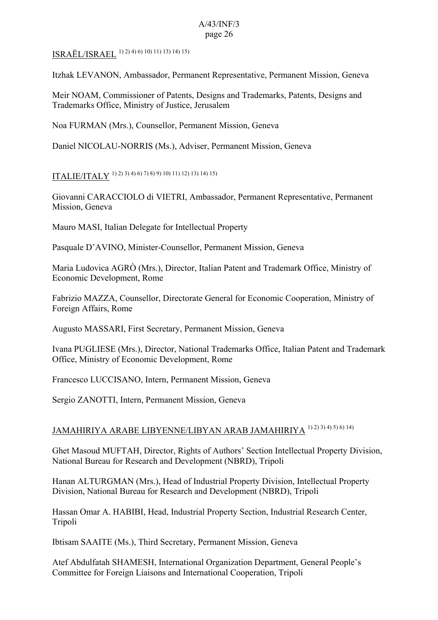ISRAËL/ISRAEL 1) 2) 4) 6) 10) 11) 13) 14) 15)

Itzhak LEVANON, Ambassador, Permanent Representative, Permanent Mission, Geneva

Meir NOAM, Commissioner of Patents, Designs and Trademarks, Patents, Designs and Trademarks Office, Ministry of Justice, Jerusalem

Noa FURMAN (Mrs.), Counsellor, Permanent Mission, Geneva

Daniel NICOLAU-NORRIS (Ms.), Adviser, Permanent Mission, Geneva

ITALIE/ITALY 1) 2) 3) 4) 6) 7) 8) 9) 10) 11) 12) 13) 14) 15)

Giovanni CARACCIOLO di VIETRI, Ambassador, Permanent Representative, Permanent Mission, Geneva

Mauro MASI, Italian Delegate for Intellectual Property

Pasquale D'AVINO, Minister-Counsellor, Permanent Mission, Geneva

Maria Ludovica AGRÒ (Mrs.), Director, Italian Patent and Trademark Office, Ministry of Economic Development, Rome

Fabrizio MAZZA, Counsellor, Directorate General for Economic Cooperation, Ministry of Foreign Affairs, Rome

Augusto MASSARI, First Secretary, Permanent Mission, Geneva

Ivana PUGLIESE (Mrs.), Director, National Trademarks Office, Italian Patent and Trademark Office, Ministry of Economic Development, Rome

Francesco LUCCISANO, Intern, Permanent Mission, Geneva

Sergio ZANOTTI, Intern, Permanent Mission, Geneva

# JAMAHIRIYA ARABE LIBYENNE/LIBYAN ARAB JAMAHIRIYA 1) 2) 3) 4) 5) 6) 14)

Ghet Masoud MUFTAH, Director, Rights of Authors' Section Intellectual Property Division, National Bureau for Research and Development (NBRD), Tripoli

Hanan ALTURGMAN (Mrs.), Head of Industrial Property Division, Intellectual Property Division, National Bureau for Research and Development (NBRD), Tripoli

Hassan Omar A. HABIBI, Head, Industrial Property Section, Industrial Research Center, Tripoli

Ibtisam SAAITE (Ms.), Third Secretary, Permanent Mission, Geneva

Atef Abdulfatah SHAMESH, International Organization Department, General People's Committee for Foreign Liaisons and International Cooperation, Tripoli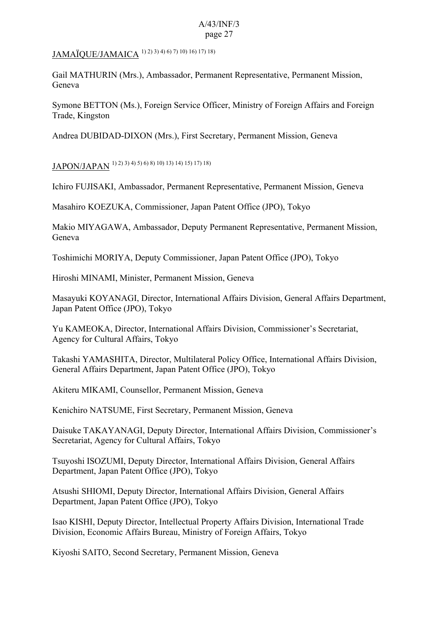JAMAÏQUE/JAMAICA 1) 2) 3) 4) 6) 7) 10) 16) 17) 18)

Gail MATHURIN (Mrs.), Ambassador, Permanent Representative, Permanent Mission, Geneva

Symone BETTON (Ms.), Foreign Service Officer, Ministry of Foreign Affairs and Foreign Trade, Kingston

Andrea DUBIDAD-DIXON (Mrs.), First Secretary, Permanent Mission, Geneva

JAPON/JAPAN 1) 2) 3) 4) 5) 6) 8) 10) 13) 14) 15) 17) 18)

Ichiro FUJISAKI, Ambassador, Permanent Representative, Permanent Mission, Geneva

Masahiro KOEZUKA, Commissioner, Japan Patent Office (JPO), Tokyo

Makio MIYAGAWA, Ambassador, Deputy Permanent Representative, Permanent Mission, Geneva

Toshimichi MORIYA, Deputy Commissioner, Japan Patent Office (JPO), Tokyo

Hiroshi MINAMI, Minister, Permanent Mission, Geneva

Masayuki KOYANAGI, Director, International Affairs Division, General Affairs Department, Japan Patent Office (JPO), Tokyo

Yu KAMEOKA, Director, International Affairs Division, Commissioner's Secretariat, Agency for Cultural Affairs, Tokyo

Takashi YAMASHITA, Director, Multilateral Policy Office, International Affairs Division, General Affairs Department, Japan Patent Office (JPO), Tokyo

Akiteru MIKAMI, Counsellor, Permanent Mission, Geneva

Kenichiro NATSUME, First Secretary, Permanent Mission, Geneva

Daisuke TAKAYANAGI, Deputy Director, International Affairs Division, Commissioner's Secretariat, Agency for Cultural Affairs, Tokyo

Tsuyoshi ISOZUMI, Deputy Director, International Affairs Division, General Affairs Department, Japan Patent Office (JPO), Tokyo

Atsushi SHIOMI, Deputy Director, International Affairs Division, General Affairs Department, Japan Patent Office (JPO), Tokyo

Isao KISHI, Deputy Director, Intellectual Property Affairs Division, International Trade Division, Economic Affairs Bureau, Ministry of Foreign Affairs, Tokyo

Kiyoshi SAITO, Second Secretary, Permanent Mission, Geneva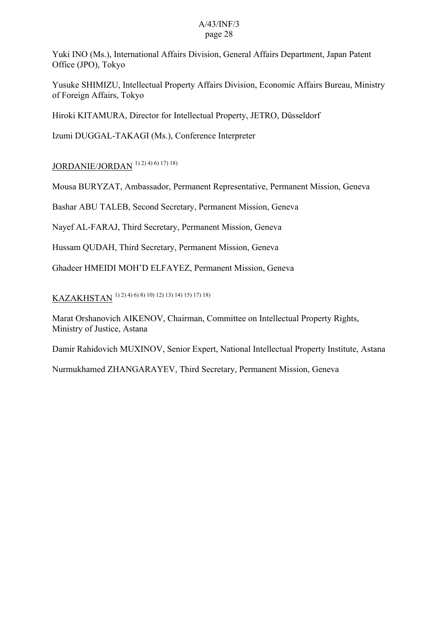Yuki INO (Ms.), International Affairs Division, General Affairs Department, Japan Patent Office (JPO), Tokyo

Yusuke SHIMIZU, Intellectual Property Affairs Division, Economic Affairs Bureau, Ministry of Foreign Affairs, Tokyo

Hiroki KITAMURA, Director for Intellectual Property, JETRO, Düsseldorf

Izumi DUGGAL-TAKAGI (Ms.), Conference Interpreter

JORDANIE/JORDAN 1) 2) 4) 6) 17) 18)

Mousa BURYZAT, Ambassador, Permanent Representative, Permanent Mission, Geneva

Bashar ABU TALEB, Second Secretary, Permanent Mission, Geneva

Nayef AL-FARAJ, Third Secretary, Permanent Mission, Geneva

Hussam QUDAH, Third Secretary, Permanent Mission, Geneva

Ghadeer HMEIDI MOH'D ELFAYEZ, Permanent Mission, Geneva

KAZAKHSTAN 1) 2) 4) 6) 8) 10) 12) 13) 14) 15) 17) 18)

Marat Orshanovich AIKENOV, Chairman, Committee on Intellectual Property Rights, Ministry of Justice, Astana

Damir Rahidovich MUXINOV, Senior Expert, National Intellectual Property Institute, Astana

Nurmukhamed ZHANGARAYEV, Third Secretary, Permanent Mission, Geneva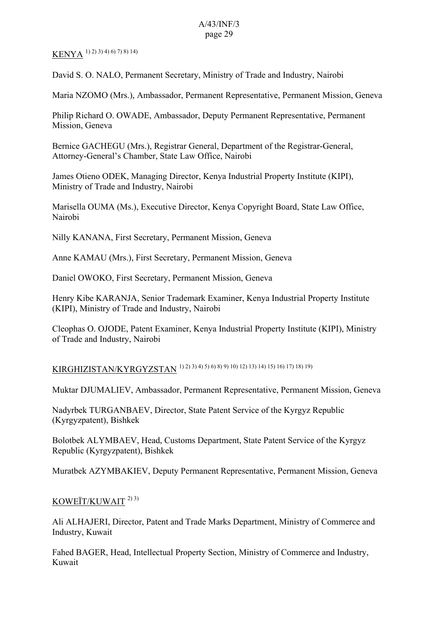# KENYA 1) 2) 3) 4) 6) 7) 8) 14)

David S. O. NALO, Permanent Secretary, Ministry of Trade and Industry, Nairobi

Maria NZOMO (Mrs.), Ambassador, Permanent Representative, Permanent Mission, Geneva

Philip Richard O. OWADE, Ambassador, Deputy Permanent Representative, Permanent Mission, Geneva

Bernice GACHEGU (Mrs.), Registrar General, Department of the Registrar-General, Attorney-General's Chamber, State Law Office, Nairobi

James Otieno ODEK, Managing Director, Kenya Industrial Property Institute (KIPI), Ministry of Trade and Industry, Nairobi

Marisella OUMA (Ms.), Executive Director, Kenya Copyright Board, State Law Office, Nairobi

Nilly KANANA, First Secretary, Permanent Mission, Geneva

Anne KAMAU (Mrs.), First Secretary, Permanent Mission, Geneva

Daniel OWOKO, First Secretary, Permanent Mission, Geneva

Henry Kibe KARANJA, Senior Trademark Examiner, Kenya Industrial Property Institute (KIPI), Ministry of Trade and Industry, Nairobi

Cleophas O. OJODE, Patent Examiner, Kenya Industrial Property Institute (KIPI), Ministry of Trade and Industry, Nairobi

# KIRGHIZISTAN/KYRGYZSTAN 1) 2) 3) 4) 5) 6) 8) 9) 10) 12) 13) 14) 15) 16) 17) 18) 19)

Muktar DJUMALIEV, Ambassador, Permanent Representative, Permanent Mission, Geneva

Nadyrbek TURGANBAEV, Director, State Patent Service of the Kyrgyz Republic (Kyrgyzpatent), Bishkek

Bolotbek ALYMBAEV, Head, Customs Department, State Patent Service of the Kyrgyz Republic (Kyrgyzpatent), Bishkek

Muratbek AZYMBAKIEV, Deputy Permanent Representative, Permanent Mission, Geneva

### KOWEÏT/KUWAIT 2) 3)

Ali ALHAJERI, Director, Patent and Trade Marks Department, Ministry of Commerce and Industry, Kuwait

Fahed BAGER, Head, Intellectual Property Section, Ministry of Commerce and Industry, Kuwait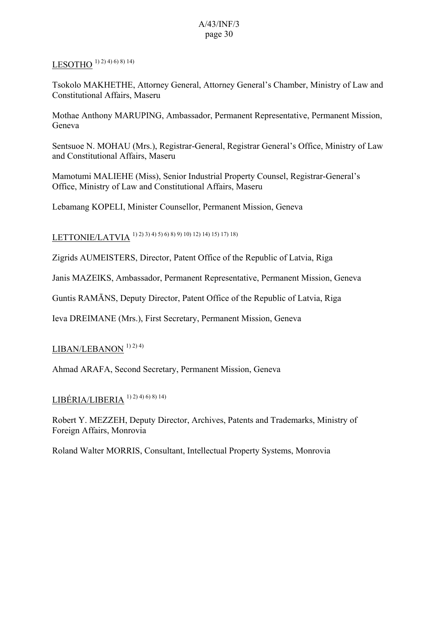### LESOTHO  $(1)$  2) 4) 6) 8) 14)

Tsokolo MAKHETHE, Attorney General, Attorney General's Chamber, Ministry of Law and Constitutional Affairs, Maseru

Mothae Anthony MARUPING, Ambassador, Permanent Representative, Permanent Mission, Geneva

Sentsuoe N. MOHAU (Mrs.), Registrar-General, Registrar General's Office, Ministry of Law and Constitutional Affairs, Maseru

Mamotumi MALIEHE (Miss), Senior Industrial Property Counsel, Registrar-General's Office, Ministry of Law and Constitutional Affairs, Maseru

Lebamang KOPELI, Minister Counsellor, Permanent Mission, Geneva

LETTONIE/LATVIA 1) 2) 3) 4) 5) 6) 8) 9) 10) 12) 14) 15) 17) 18)

Zigrids AUMEISTERS, Director, Patent Office of the Republic of Latvia, Riga

Janis MAZEIKS, Ambassador, Permanent Representative, Permanent Mission, Geneva

Guntis RAMĀNS, Deputy Director, Patent Office of the Republic of Latvia, Riga

Ieva DREIMANE (Mrs.), First Secretary, Permanent Mission, Geneva

## LIBAN/LEBANON<sup>1)2)4)</sup>

Ahmad ARAFA, Second Secretary, Permanent Mission, Geneva

# $LIBÉRIA/LIBERIA$ <sup>1) 2) 4) 6) 8) 14)</sup>

Robert Y. MEZZEH, Deputy Director, Archives, Patents and Trademarks, Ministry of Foreign Affairs, Monrovia

Roland Walter MORRIS, Consultant, Intellectual Property Systems, Monrovia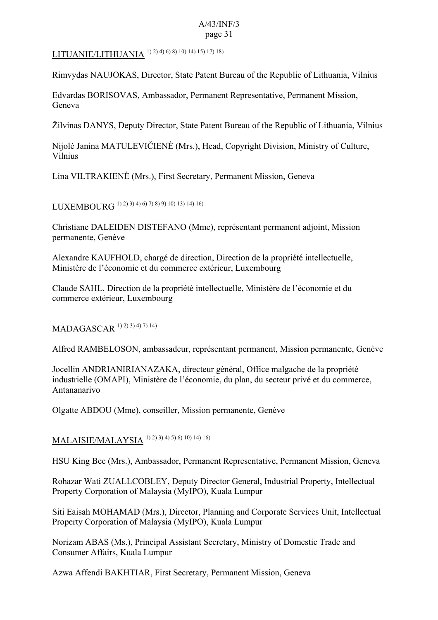# LITUANIE/LITHUANIA 1) 2) 4) 6) 8) 10) 14) 15) 17) 18)

Rimvydas NAUJOKAS, Director, State Patent Bureau of the Republic of Lithuania, Vilnius

Edvardas BORISOVAS, Ambassador, Permanent Representative, Permanent Mission, Geneva

Žilvinas DANYS, Deputy Director, State Patent Bureau of the Republic of Lithuania, Vilnius

Nijolė Janina MATULEVIČIENĖ (Mrs.), Head, Copyright Division, Ministry of Culture, Vilnius

Lina VILTRAKIENĖ (Mrs.), First Secretary, Permanent Mission, Geneva

### LUXEMBOURG 1) 2) 3) 4) 6) 7) 8) 9) 10) 13) 14) 16)

Christiane DALEIDEN DISTEFANO (Mme), représentant permanent adjoint, Mission permanente, Genève

Alexandre KAUFHOLD, chargé de direction, Direction de la propriété intellectuelle, Ministère de l'économie et du commerce extérieur, Luxembourg

Claude SAHL, Direction de la propriété intellectuelle, Ministère de l'économie et du commerce extérieur, Luxembourg

# MADAGASCAR 1) 2) 3) 4) 7) 14)

Alfred RAMBELOSON, ambassadeur, représentant permanent, Mission permanente, Genève

Jocellin ANDRIANIRIANAZAKA, directeur général, Office malgache de la propriété industrielle (OMAPI), Ministère de l'économie, du plan, du secteur privé et du commerce, Antananarivo

Olgatte ABDOU (Mme), conseiller, Mission permanente, Genève

# MALAISIE/MALAYSIA 1) 2) 3) 4) 5) 6) 10) 14) 16)

HSU King Bee (Mrs.), Ambassador, Permanent Representative, Permanent Mission, Geneva

Rohazar Wati ZUALLCOBLEY, Deputy Director General, Industrial Property, Intellectual Property Corporation of Malaysia (MyIPO), Kuala Lumpur

Siti Eaisah MOHAMAD (Mrs.), Director, Planning and Corporate Services Unit, Intellectual Property Corporation of Malaysia (MyIPO), Kuala Lumpur

Norizam ABAS (Ms.), Principal Assistant Secretary, Ministry of Domestic Trade and Consumer Affairs, Kuala Lumpur

Azwa Affendi BAKHTIAR, First Secretary, Permanent Mission, Geneva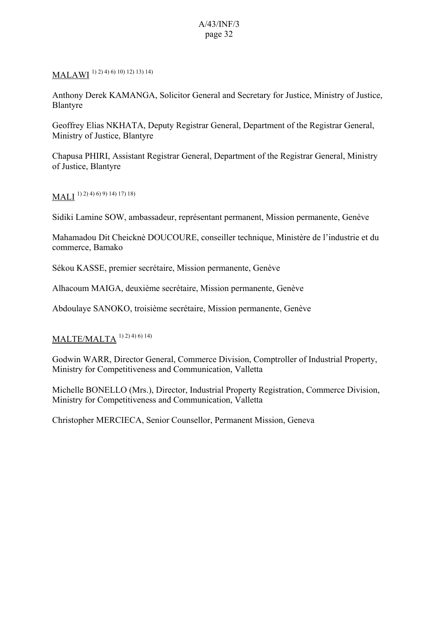MALAWI 1) 2) 4) 6) 10) 12) 13) 14)

Anthony Derek KAMANGA, Solicitor General and Secretary for Justice, Ministry of Justice, Blantyre

Geoffrey Elias NKHATA, Deputy Registrar General, Department of the Registrar General, Ministry of Justice, Blantyre

Chapusa PHIRI, Assistant Registrar General, Department of the Registrar General, Ministry of Justice, Blantyre

 $\text{MALI}$   $^{(1)}$  2) 4) 6) 9) 14) 17) 18)

Sidiki Lamine SOW, ambassadeur, représentant permanent, Mission permanente, Genève

Mahamadou Dit Cheicknè DOUCOURE, conseiller technique, Ministère de l'industrie et du commerce, Bamako

Sékou KASSE, premier secrétaire, Mission permanente, Genève

Alhacoum MAIGA, deuxième secrétaire, Mission permanente, Genève

Abdoulaye SANOKO, troisième secrétaire, Mission permanente, Genève

#### MALTE/MALTA  $^{1) 2) 4) 6) 14)$

Godwin WARR, Director General, Commerce Division, Comptroller of Industrial Property, Ministry for Competitiveness and Communication, Valletta

Michelle BONELLO (Mrs.), Director, Industrial Property Registration, Commerce Division, Ministry for Competitiveness and Communication, Valletta

Christopher MERCIECA, Senior Counsellor, Permanent Mission, Geneva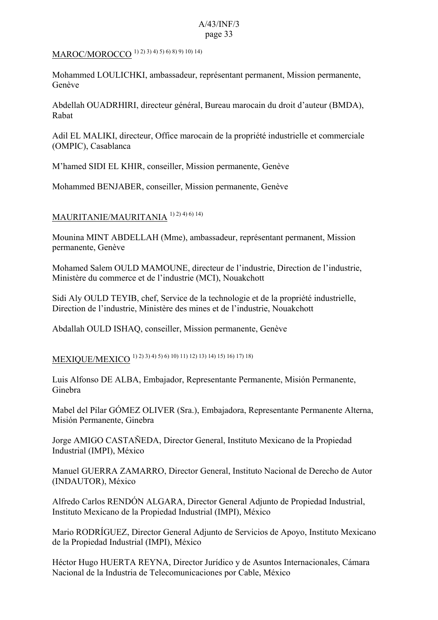# MAROC/MOROCCO 1) 2) 3) 4) 5) 6) 8) 9) 10) 14)

Mohammed LOULICHKI, ambassadeur, représentant permanent, Mission permanente, Genève

Abdellah OUADRHIRI, directeur général, Bureau marocain du droit d'auteur (BMDA), Rabat

Adil EL MALIKI, directeur, Office marocain de la propriété industrielle et commerciale (OMPIC), Casablanca

M'hamed SIDI EL KHIR, conseiller, Mission permanente, Genève

Mohammed BENJABER, conseiller, Mission permanente, Genève

## MAURITANIE/MAURITANIA 1) 2) 4) 6) 14)

Mounina MINT ABDELLAH (Mme), ambassadeur, représentant permanent, Mission permanente, Genève

Mohamed Salem OULD MAMOUNE, directeur de l'industrie, Direction de l'industrie, Ministère du commerce et de l'industrie (MCI), Nouakchott

Sidi Aly OULD TEYIB, chef, Service de la technologie et de la propriété industrielle, Direction de l'industrie, Ministère des mines et de l'industrie, Nouakchott

Abdallah OULD ISHAQ, conseiller, Mission permanente, Genève

MEXIQUE/MEXICO 1) 2) 3) 4) 5) 6) 10) 11) 12) 13) 14) 15) 16) 17) 18)

Luis Alfonso DE ALBA, Embajador, Representante Permanente, Misión Permanente, Ginebra

Mabel del Pilar GÓMEZ OLIVER (Sra.), Embajadora, Representante Permanente Alterna, Misión Permanente, Ginebra

Jorge AMIGO CASTAÑEDA, Director General, Instituto Mexicano de la Propiedad Industrial (IMPI), México

Manuel GUERRA ZAMARRO, Director General, Instituto Nacional de Derecho de Autor (INDAUTOR), México

Alfredo Carlos RENDÓN ALGARA, Director General Adjunto de Propiedad Industrial, Instituto Mexicano de la Propiedad Industrial (IMPI), México

Mario RODRÍGUEZ, Director General Adjunto de Servicios de Apoyo, Instituto Mexicano de la Propiedad Industrial (IMPI), México

Héctor Hugo HUERTA REYNA, Director Jurídico y de Asuntos Internacionales, Cámara Nacional de la Industria de Telecomunicaciones por Cable, México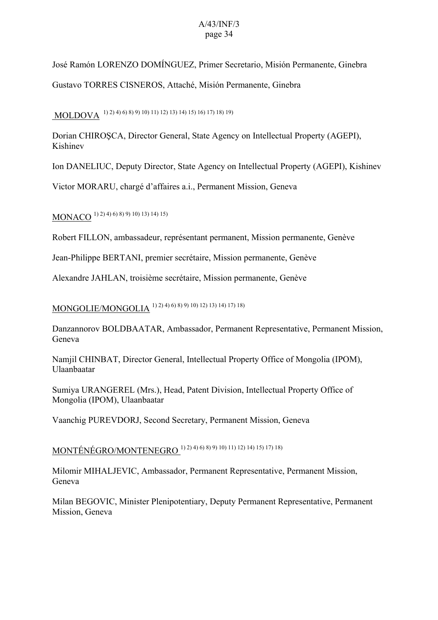José Ramón LORENZO DOMÍNGUEZ, Primer Secretario, Misión Permanente, Ginebra Gustavo TORRES CISNEROS, Attaché, Misión Permanente, Ginebra

# MOLDOVA 1) 2) 4) 6) 8) 9) 10) 11) 12) 13) 14) 15) 16) 17) 18) 19)

Dorian CHIROŞCA, Director General, State Agency on Intellectual Property (AGEPI), Kishinev

Ion DANELIUC, Deputy Director, State Agency on Intellectual Property (AGEPI), Kishinev

Victor MORARU, chargé d'affaires a.i., Permanent Mission, Geneva

MONACO 1) 2) 4) 6) 8) 9) 10) 13) 14) 15)

Robert FILLON, ambassadeur, représentant permanent, Mission permanente, Genève

Jean-Philippe BERTANI, premier secrétaire, Mission permanente, Genève

Alexandre JAHLAN, troisième secrétaire, Mission permanente, Genève

MONGOLIE/MONGOLIA 1) 2) 4) 6) 8) 9) 10) 12) 13) 14) 17) 18)

Danzannorov BOLDBAATAR, Ambassador, Permanent Representative, Permanent Mission, Geneva

Namjil CHINBAT, Director General, Intellectual Property Office of Mongolia (IPOM), Ulaanbaatar

Sumiya URANGEREL (Mrs.), Head, Patent Division, Intellectual Property Office of Mongolia (IPOM), Ulaanbaatar

Vaanchig PUREVDORJ, Second Secretary, Permanent Mission, Geneva

MONTÉNÉGRO/MONTENEGRO 1) 2) 4) 6) 8) 9) 10) 11) 12) 14) 15) 17) 18)

Milomir MIHALJEVIC, Ambassador, Permanent Representative, Permanent Mission, Geneva

Milan BEGOVIC, Minister Plenipotentiary, Deputy Permanent Representative, Permanent Mission, Geneva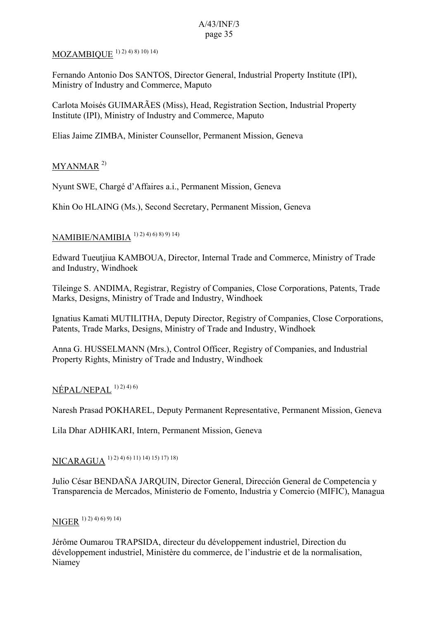# MOZAMBIQUE 1) 2) 4) 8) 10) 14)

Fernando Antonio Dos SANTOS, Director General, Industrial Property Institute (IPI), Ministry of Industry and Commerce, Maputo

Carlota Moisés GUIMARÃES (Miss), Head, Registration Section, Industrial Property Institute (IPI), Ministry of Industry and Commerce, Maputo

Elias Jaime ZIMBA, Minister Counsellor, Permanent Mission, Geneva

### MYANMAR<sup>2)</sup>

Nyunt SWE, Chargé d'Affaires a.i., Permanent Mission, Geneva

Khin Oo HLAING (Ms.), Second Secretary, Permanent Mission, Geneva

## NAMIBIE/NAMIBIA 1) 2) 4) 6) 8) 9) 14)

Edward Tueutjiua KAMBOUA, Director, Internal Trade and Commerce, Ministry of Trade and Industry, Windhoek

Tileinge S. ANDIMA, Registrar, Registry of Companies, Close Corporations, Patents, Trade Marks, Designs, Ministry of Trade and Industry, Windhoek

Ignatius Kamati MUTILITHA, Deputy Director, Registry of Companies, Close Corporations, Patents, Trade Marks, Designs, Ministry of Trade and Industry, Windhoek

Anna G. HUSSELMANN (Mrs.), Control Officer, Registry of Companies, and Industrial Property Rights, Ministry of Trade and Industry, Windhoek

### $NÉPAL/NEPAL$ <sup>1) 2) 4) 6)</sup>

Naresh Prasad POKHAREL, Deputy Permanent Representative, Permanent Mission, Geneva

Lila Dhar ADHIKARI, Intern, Permanent Mission, Geneva

## NICARAGUA 1) 2) 4) 6) 11) 14) 15) 17) 18)

Julio César BENDAÑA JARQUIN, Director General, Dirección General de Competencia y Transparencia de Mercados, Ministerio de Fomento, Industria y Comercio (MIFIC), Managua

# NIGER 1) 2) 4) 6) 9) 14)

Jérôme Oumarou TRAPSIDA, directeur du développement industriel, Direction du développement industriel, Ministère du commerce, de l'industrie et de la normalisation, Niamey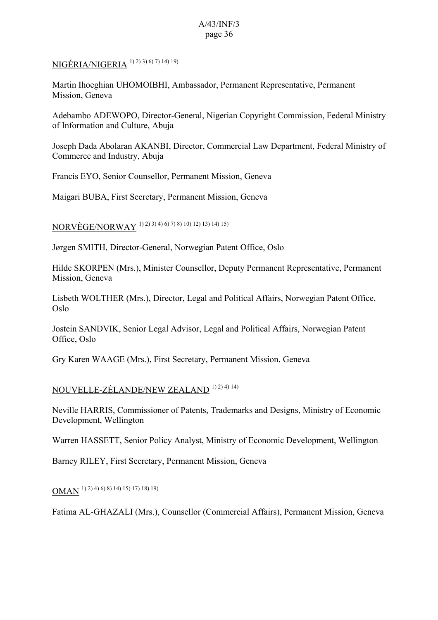### NIGÉRIA/NIGERIA 1) 2) 3) 6) 7) 14) 19)

Martin Ihoeghian UHOMOIBHI, Ambassador, Permanent Representative, Permanent Mission, Geneva

Adebambo ADEWOPO, Director-General, Nigerian Copyright Commission, Federal Ministry of Information and Culture, Abuja

Joseph Dada Abolaran AKANBI, Director, Commercial Law Department, Federal Ministry of Commerce and Industry, Abuja

Francis EYO, Senior Counsellor, Permanent Mission, Geneva

Maigari BUBA, First Secretary, Permanent Mission, Geneva

NORVÈGE/NORWAY 1) 2) 3) 4) 6) 7) 8) 10) 12) 13) 14) 15)

Jørgen SMITH, Director-General, Norwegian Patent Office, Oslo

Hilde SKORPEN (Mrs.), Minister Counsellor, Deputy Permanent Representative, Permanent Mission, Geneva

Lisbeth WOLTHER (Mrs.), Director, Legal and Political Affairs, Norwegian Patent Office, Oslo

Jostein SANDVIK, Senior Legal Advisor, Legal and Political Affairs, Norwegian Patent Office, Oslo

Gry Karen WAAGE (Mrs.), First Secretary, Permanent Mission, Geneva

### NOUVELLE-ZÉLANDE/NEW ZEALAND 1) 2) 4) 14)

Neville HARRIS, Commissioner of Patents, Trademarks and Designs, Ministry of Economic Development, Wellington

Warren HASSETT, Senior Policy Analyst, Ministry of Economic Development, Wellington

Barney RILEY, First Secretary, Permanent Mission, Geneva

OMAN 1) 2) 4) 6) 8) 14) 15) 17) 18) 19)

Fatima AL-GHAZALI (Mrs.), Counsellor (Commercial Affairs), Permanent Mission, Geneva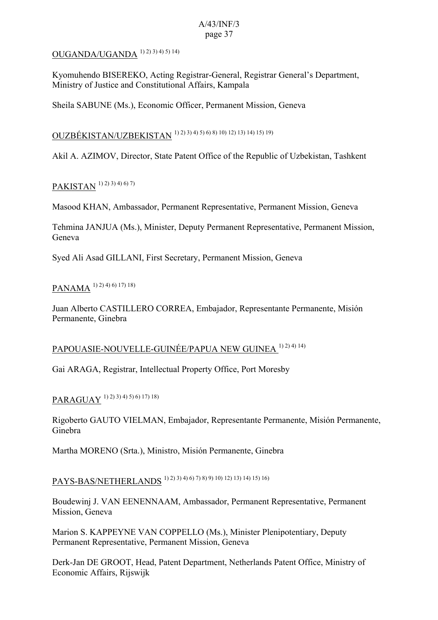### OUGANDA/UGANDA 1) 2) 3) 4) 5) 14)

Kyomuhendo BISEREKO, Acting Registrar-General, Registrar General's Department, Ministry of Justice and Constitutional Affairs, Kampala

Sheila SABUNE (Ms.), Economic Officer, Permanent Mission, Geneva

OUZBÉKISTAN/UZBEKISTAN 1) 2) 3) 4) 5) 6) 8) 10) 12) 13) 14) 15) 19)

Akil A. AZIMOV, Director, State Patent Office of the Republic of Uzbekistan, Tashkent

## PAKISTAN 1) 2) 3) 4) 6) 7)

Masood KHAN, Ambassador, Permanent Representative, Permanent Mission, Geneva

Tehmina JANJUA (Ms.), Minister, Deputy Permanent Representative, Permanent Mission, Geneva

Syed Ali Asad GILLANI, First Secretary, Permanent Mission, Geneva

### PANAMA 1) 2) 4) 6) 17) 18)

Juan Alberto CASTILLERO CORREA, Embajador, Representante Permanente, Misión Permanente, Ginebra

### PAPOUASIE-NOUVELLE-GUINÉE/PAPUA NEW GUINEA 1) 2) 4) 14)

Gai ARAGA, Registrar, Intellectual Property Office, Port Moresby

# PARAGUAY 1) 2) 3) 4) 5) 6) 17) 18)

Rigoberto GAUTO VIELMAN, Embajador, Representante Permanente, Misión Permanente, Ginebra

Martha MORENO (Srta.), Ministro, Misión Permanente, Ginebra

# PAYS-BAS/NETHERLANDS 1) 2) 3) 4) 6) 7) 8) 9) 10) 12) 13) 14) 15) 16)

Boudewinj J. VAN EENENNAAM, Ambassador, Permanent Representative, Permanent Mission, Geneva

Marion S. KAPPEYNE VAN COPPELLO (Ms.), Minister Plenipotentiary, Deputy Permanent Representative, Permanent Mission, Geneva

Derk-Jan DE GROOT, Head, Patent Department, Netherlands Patent Office, Ministry of Economic Affairs, Rijswijk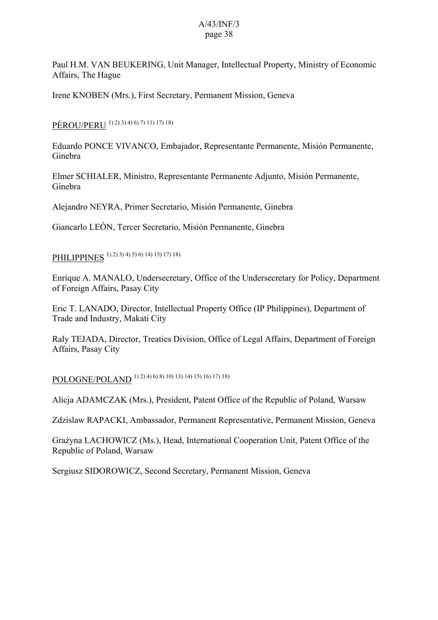Paul H.M. VAN BEUKERING, Unit Manager, Intellectual Property, Ministry of Economic Affairs, The Hague

Irene KNOBEN (Mrs.), First Secretary, Permanent Mission, Geneva

PÉROU/PERU 1) 2) 3) 4) 6) 7) 11) 17) 18)

Eduardo PONCE VIVANCO, Embajador, Representante Permanente, Misión Permanente, Ginebra

Elmer SCHIALER, Ministro, Representante Permanente Adjunto, Misión Permanente, Ginebra

Alejandro NEYRA, Primer Secretario, Misión Permanente, Ginebra

Giancarlo LEÓN, Tercer Secretario, Misión Permanente, Ginebra

PHILIPPINES 1) 2) 3) 4) 5) 6) 14) 15) 17) 18)

Enrique A. MANALO, Undersecretary, Office of the Undersecretary for Policy, Department of Foreign Affairs, Pasay City

Eric T. LANADO, Director, Intellectual Property Office (IP Philippines), Department of Trade and Industry, Makati City

Raly TEJADA, Director, Treaties Division, Office of Legal Affairs, Department of Foreign Affairs, Pasay City

POLOGNE/POLAND 1) 2) 4) 6) 8) 10) 13) 14) 15) 16) 17) 18)

Alicja ADAMCZAK (Mrs.), President, Patent Office of the Republic of Poland, Warsaw

Zdzislaw RAPACKI, Ambassador, Permanent Representative, Permanent Mission, Geneva

Grażyna LACHOWICZ (Ms.), Head, International Cooperation Unit, Patent Office of the Republic of Poland, Warsaw

Sergiusz SIDOROWICZ, Second Secretary, Permanent Mission, Geneva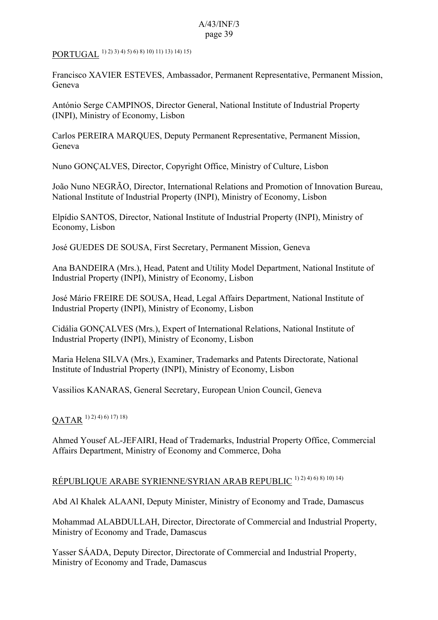# PORTUGAL 1) 2) 3) 4) 5) 6) 8) 10) 11) 13) 14) 15)

Francisco XAVIER ESTEVES, Ambassador, Permanent Representative, Permanent Mission, Geneva

António Serge CAMPINOS, Director General, National Institute of Industrial Property (INPI), Ministry of Economy, Lisbon

Carlos PEREIRA MARQUES, Deputy Permanent Representative, Permanent Mission, Geneva

Nuno GONÇALVES, Director, Copyright Office, Ministry of Culture, Lisbon

João Nuno NEGRÃO, Director, International Relations and Promotion of Innovation Bureau, National Institute of Industrial Property (INPI), Ministry of Economy, Lisbon

Elpídio SANTOS, Director, National Institute of Industrial Property (INPI), Ministry of Economy, Lisbon

José GUEDES DE SOUSA, First Secretary, Permanent Mission, Geneva

Ana BANDEIRA (Mrs.), Head, Patent and Utility Model Department, National Institute of Industrial Property (INPI), Ministry of Economy, Lisbon

José Mário FREIRE DE SOUSA, Head, Legal Affairs Department, National Institute of Industrial Property (INPI), Ministry of Economy, Lisbon

Cidália GONÇALVES (Mrs.), Expert of International Relations, National Institute of Industrial Property (INPI), Ministry of Economy, Lisbon

Maria Helena SILVA (Mrs.), Examiner, Trademarks and Patents Directorate, National Institute of Industrial Property (INPI), Ministry of Economy, Lisbon

Vassilios KANARAS, General Secretary, European Union Council, Geneva

## $OATAR$ <sup>1) 2) 4) 6) 17) 18)</sup>

Ahmed Yousef AL-JEFAIRI, Head of Trademarks, Industrial Property Office, Commercial Affairs Department, Ministry of Economy and Commerce, Doha

## RÉPUBLIQUE ARABE SYRIENNE/SYRIAN ARAB REPUBLIC 1) 2) 4) 6) 8) 10) 14)

Abd Al Khalek ALAANI, Deputy Minister, Ministry of Economy and Trade, Damascus

Mohammad ALABDULLAH, Director, Directorate of Commercial and Industrial Property, Ministry of Economy and Trade, Damascus

Yasser SÁADA, Deputy Director, Directorate of Commercial and Industrial Property, Ministry of Economy and Trade, Damascus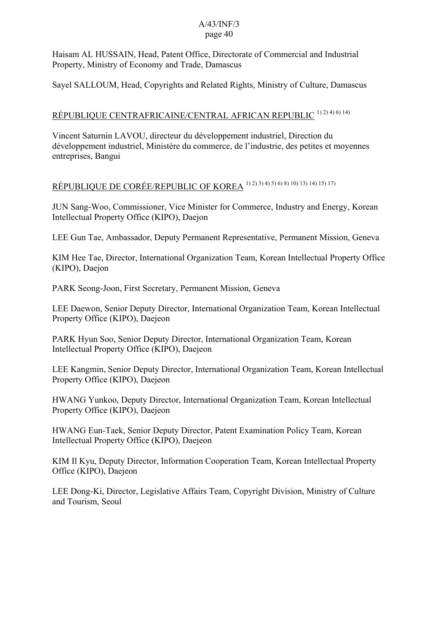Haisam AL HUSSAIN, Head, Patent Office, Directorate of Commercial and Industrial Property, Ministry of Economy and Trade, Damascus

Sayel SALLOUM, Head, Copyrights and Related Rights, Ministry of Culture, Damascus

# RÉPUBLIQUE CENTRAFRICAINE/CENTRAL AFRICAN REPUBLIC <sup>1) 2) 4) 6) 14)</sup>

Vincent Saturnin LAVOU, directeur du développement industriel, Direction du développement industriel, Ministère du commerce, de l'industrie, des petites et moyennes entreprises, Bangui

# RÉPUBLIQUE DE CORÉE/REPUBLIC OF KOREA 1) 2) 3) 4) 5) 6) 8) 10) 13) 14) 15) 17)

JUN Sang-Woo, Commissioner, Vice Minister for Commerce, Industry and Energy, Korean Intellectual Property Office (KIPO), Daejon

LEE Gun Tae, Ambassador, Deputy Permanent Representative, Permanent Mission, Geneva

KIM Hee Tae, Director, International Organization Team, Korean Intellectual Property Office (KIPO), Daejon

PARK Seong-Joon, First Secretary, Permanent Mission, Geneva

LEE Daewon, Senior Deputy Director, International Organization Team, Korean Intellectual Property Office (KIPO), Daejeon

PARK Hyun Soo, Senior Deputy Director, International Organization Team, Korean Intellectual Property Office (KIPO), Daejeon

LEE Kangmin, Senior Deputy Director, International Organization Team, Korean Intellectual Property Office (KIPO), Daejeon

HWANG Yunkoo, Deputy Director, International Organization Team, Korean Intellectual Property Office (KIPO), Daejeon

HWANG Eun-Taek, Senior Deputy Director, Patent Examination Policy Team, Korean Intellectual Property Office (KIPO), Daejeon

KIM Il Kyu, Deputy Director, Information Cooperation Team, Korean Intellectual Property Office (KIPO), Daejeon

LEE Dong-Ki, Director, Legislative Affairs Team, Copyright Division, Ministry of Culture and Tourism, Seoul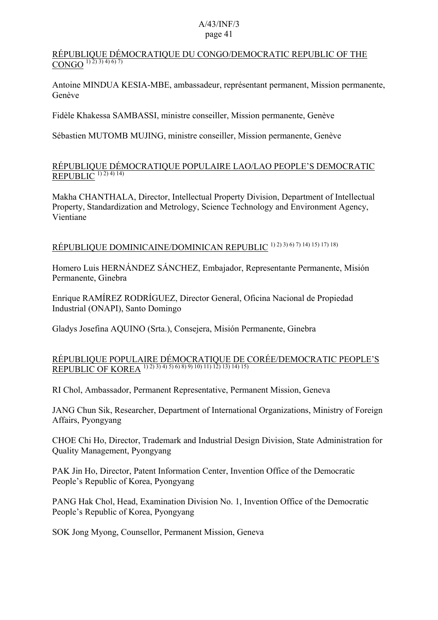#### RÉPUBLIQUE DÉMOCRATIQUE DU CONGO/DEMOCRATIC REPUBLIC OF THE  $\overline{\text{CONGO}^{1(2)(3)(4)(6)(7)}}$

Antoine MINDUA KESIA-MBE, ambassadeur, représentant permanent, Mission permanente, Genève

Fidèle Khakessa SAMBASSI, ministre conseiller, Mission permanente, Genève

Sébastien MUTOMB MUJING, ministre conseiller, Mission permanente, Genève

### RÉPUBLIQUE DÉMOCRATIQUE POPULAIRE LAO/LAO PEOPLE'S DEMOCRATIC REPUBLIC  $^{1)2)4)14)$

Makha CHANTHALA, Director, Intellectual Property Division, Department of Intellectual Property, Standardization and Metrology, Science Technology and Environment Agency, Vientiane

# RÉPUBLIQUE DOMINICAINE/DOMINICAN REPUBLIC 1) 2) 3) 6) 7) 14) 15) 17) 18)

Homero Luis HERNÁNDEZ SÁNCHEZ, Embajador, Representante Permanente, Misión Permanente, Ginebra

Enrique RAMÍREZ RODRÍGUEZ, Director General, Oficina Nacional de Propiedad Industrial (ONAPI), Santo Domingo

Gladys Josefina AQUINO (Srta.), Consejera, Misión Permanente, Ginebra

### RÉPUBLIQUE POPULAIRE DÉMOCRATIQUE DE CORÉE/DEMOCRATIC PEOPLE'S REPUBLIC OF KOREA <sup>1) 2) 3) 4) 5) 6) 8) 9) 10) 11) 12) 13) 14) 15)</sup>

RI Chol, Ambassador, Permanent Representative, Permanent Mission, Geneva

JANG Chun Sik, Researcher, Department of International Organizations, Ministry of Foreign Affairs, Pyongyang

CHOE Chi Ho, Director, Trademark and Industrial Design Division, State Administration for Quality Management, Pyongyang

PAK Jin Ho, Director, Patent Information Center, Invention Office of the Democratic People's Republic of Korea, Pyongyang

PANG Hak Chol, Head, Examination Division No. 1, Invention Office of the Democratic People's Republic of Korea, Pyongyang

SOK Jong Myong, Counsellor, Permanent Mission, Geneva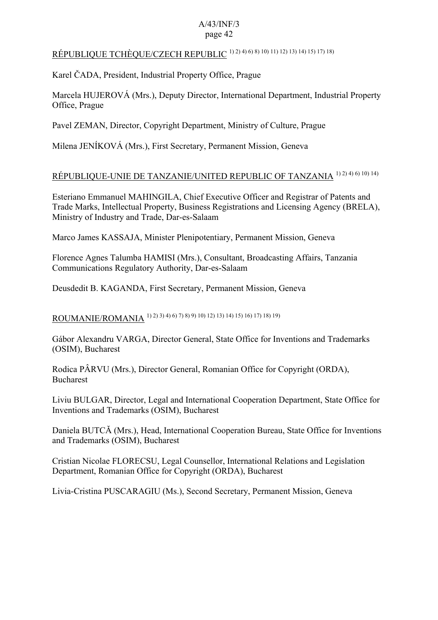# RÉPUBLIQUE TCHÈQUE/CZECH REPUBLIC 1) 2) 4) 6) 8) 10) 11) 12) 13) 14) 15) 17) 18)

Karel ČADA, President, Industrial Property Office, Prague

Marcela HUJEROVÁ (Mrs.), Deputy Director, International Department, Industrial Property Office, Prague

Pavel ZEMAN, Director, Copyright Department, Ministry of Culture, Prague

Milena JENÍKOVÁ (Mrs.), First Secretary, Permanent Mission, Geneva

# RÉPUBLIQUE-UNIE DE TANZANIE/UNITED REPUBLIC OF TANZANIA 1) 2) 4) 6) 10) 14)

Esteriano Emmanuel MAHINGILA, Chief Executive Officer and Registrar of Patents and Trade Marks, Intellectual Property, Business Registrations and Licensing Agency (BRELA), Ministry of Industry and Trade, Dar-es-Salaam

Marco James KASSAJA, Minister Plenipotentiary, Permanent Mission, Geneva

Florence Agnes Talumba HAMISI (Mrs.), Consultant, Broadcasting Affairs, Tanzania Communications Regulatory Authority, Dar-es-Salaam

Deusdedit B. KAGANDA, First Secretary, Permanent Mission, Geneva

ROUMANIE/ROMANIA 1) 2) 3) 4) 6) 7) 8) 9) 10) 12) 13) 14) 15) 16) 17) 18) 19)

Gábor Alexandru VARGA, Director General, State Office for Inventions and Trademarks (OSIM), Bucharest

Rodica PÂRVU (Mrs.), Director General, Romanian Office for Copyright (ORDA), Bucharest

Liviu BULGAR, Director, Legal and International Cooperation Department, State Office for Inventions and Trademarks (OSIM), Bucharest

Daniela BUTCĂ (Mrs.), Head, International Cooperation Bureau, State Office for Inventions and Trademarks (OSIM), Bucharest

Cristian Nicolae FLORECSU, Legal Counsellor, International Relations and Legislation Department, Romanian Office for Copyright (ORDA), Bucharest

Livia-Cristina PUSCARAGIU (Ms.), Second Secretary, Permanent Mission, Geneva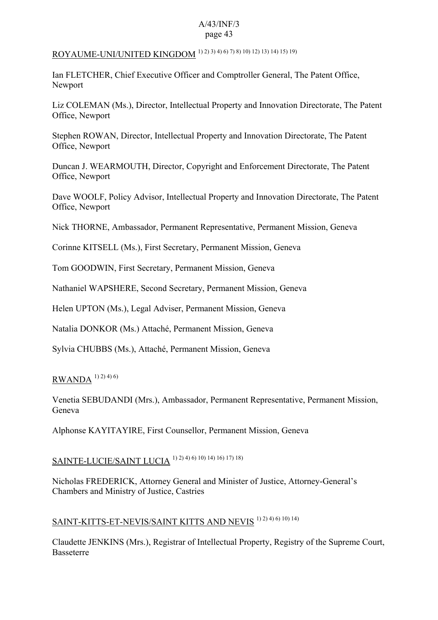# ROYAUME-UNI/UNITED KINGDOM 1) 2) 3) 4) 6) 7) 8) 10) 12) 13) 14) 15) 19)

Ian FLETCHER, Chief Executive Officer and Comptroller General, The Patent Office, Newport

Liz COLEMAN (Ms.), Director, Intellectual Property and Innovation Directorate, The Patent Office, Newport

Stephen ROWAN, Director, Intellectual Property and Innovation Directorate, The Patent Office, Newport

Duncan J. WEARMOUTH, Director, Copyright and Enforcement Directorate, The Patent Office, Newport

Dave WOOLF, Policy Advisor, Intellectual Property and Innovation Directorate, The Patent Office, Newport

Nick THORNE, Ambassador, Permanent Representative, Permanent Mission, Geneva

Corinne KITSELL (Ms.), First Secretary, Permanent Mission, Geneva

Tom GOODWIN, First Secretary, Permanent Mission, Geneva

Nathaniel WAPSHERE, Second Secretary, Permanent Mission, Geneva

Helen UPTON (Ms.), Legal Adviser, Permanent Mission, Geneva

Natalia DONKOR (Ms.) Attaché, Permanent Mission, Geneva

Sylvia CHUBBS (Ms.), Attaché, Permanent Mission, Geneva

# $RWANDA$ <sup>1) 2) 4) 6)</sup>

Venetia SEBUDANDI (Mrs.), Ambassador, Permanent Representative, Permanent Mission, Geneva

Alphonse KAYITAYIRE, First Counsellor, Permanent Mission, Geneva

# SAINTE-LUCIE/SAINT LUCIA 1) 2) 4) 6) 10) 14) 16) 17) 18)

Nicholas FREDERICK, Attorney General and Minister of Justice, Attorney-General's Chambers and Ministry of Justice, Castries

# SAINT-KITTS-ET-NEVIS/SAINT KITTS AND NEVIS<sup>1) 2) 4) 6) 10) 14)</sup>

Claudette JENKINS (Mrs.), Registrar of Intellectual Property, Registry of the Supreme Court, Basseterre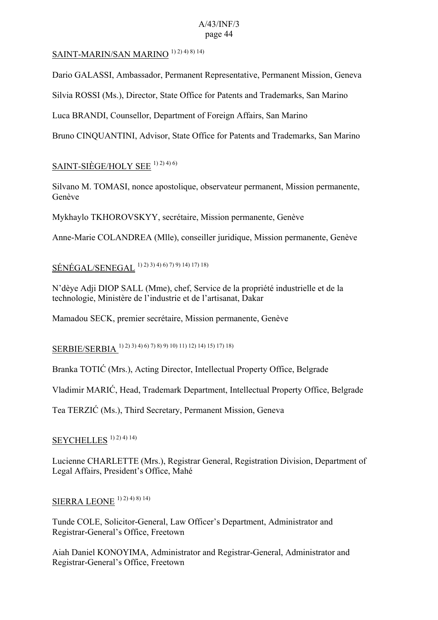### SAINT-MARIN/SAN MARINO<sup>1) 2) 4) 8) 14)</sub></sup>

Dario GALASSI, Ambassador, Permanent Representative, Permanent Mission, Geneva

Silvia ROSSI (Ms.), Director, State Office for Patents and Trademarks, San Marino

Luca BRANDI, Counsellor, Department of Foreign Affairs, San Marino

Bruno CINQUANTINI, Advisor, State Office for Patents and Trademarks, San Marino

### SAINT-SIÈGE/HOLY SEE  $1)$  2)  $4)$  6)

Silvano M. TOMASI, nonce apostolique, observateur permanent, Mission permanente, Genève

Mykhaylo TKHOROVSKYY, secrétaire, Mission permanente, Genève

Anne-Marie COLANDREA (Mlle), conseiller juridique, Mission permanente, Genève

# SÉNÉGAL/SENEGAL 1) 2) 3) 4) 6) 7) 9) 14) 17) 18)

N'dèye Adji DIOP SALL (Mme), chef, Service de la propriété industrielle et de la technologie, Ministère de l'industrie et de l'artisanat, Dakar

Mamadou SECK, premier secrétaire, Mission permanente, Genève

# SERBIE/SERBIA 1) 2) 3) 4) 6) 7) 8) 9) 10) 11) 12) 14) 15) 17) 18)

Branka TOTIĆ (Mrs.), Acting Director, Intellectual Property Office, Belgrade

Vladimir MARIĆ, Head, Trademark Department, Intellectual Property Office, Belgrade

Tea TERZIĆ (Ms.), Third Secretary, Permanent Mission, Geneva

## SEYCHELLES<sup>1) 2) 4) 14)</sup>

Lucienne CHARLETTE (Mrs.), Registrar General, Registration Division, Department of Legal Affairs, President's Office, Mahé

## SIERRA LEONE 1) 2) 4) 8) 14)

Tunde COLE, Solicitor-General, Law Officer's Department, Administrator and Registrar-General's Office, Freetown

Aiah Daniel KONOYIMA, Administrator and Registrar-General, Administrator and Registrar-General's Office, Freetown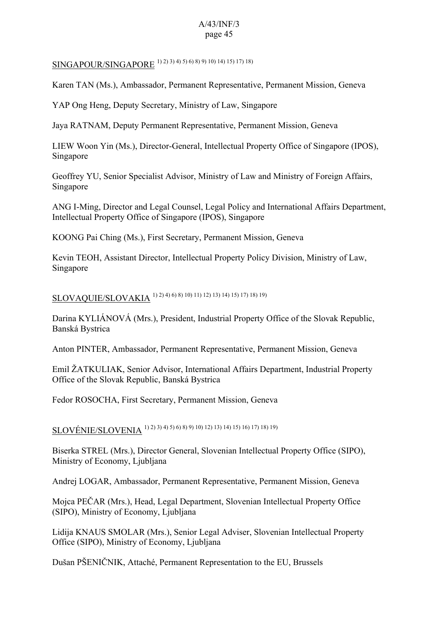# SINGAPOUR/SINGAPORE 1) 2) 3) 4) 5) 6) 8) 9) 10) 14) 15) 17) 18)

Karen TAN (Ms.), Ambassador, Permanent Representative, Permanent Mission, Geneva

YAP Ong Heng, Deputy Secretary, Ministry of Law, Singapore

Jaya RATNAM, Deputy Permanent Representative, Permanent Mission, Geneva

LIEW Woon Yin (Ms.), Director-General, Intellectual Property Office of Singapore (IPOS), Singapore

Geoffrey YU, Senior Specialist Advisor, Ministry of Law and Ministry of Foreign Affairs, Singapore

ANG I-Ming, Director and Legal Counsel, Legal Policy and International Affairs Department, Intellectual Property Office of Singapore (IPOS), Singapore

KOONG Pai Ching (Ms.), First Secretary, Permanent Mission, Geneva

Kevin TEOH, Assistant Director, Intellectual Property Policy Division, Ministry of Law, Singapore

# SLOVAQUIE/SLOVAKIA 1) 2) 4) 6) 8) 10) 11) 12) 13) 14) 15) 17) 18) 19)

Darina KYLIÁNOVÁ (Mrs.), President, Industrial Property Office of the Slovak Republic, Banská Bystrica

Anton PINTER, Ambassador, Permanent Representative, Permanent Mission, Geneva

Emil ŽATKULIAK, Senior Advisor, International Affairs Department, Industrial Property Office of the Slovak Republic, Banská Bystrica

Fedor ROSOCHA, First Secretary, Permanent Mission, Geneva

SLOVÉNIE/SLOVENIA 1) 2) 3) 4) 5) 6) 8) 9) 10) 12) 13) 14) 15) 16) 17) 18) 19)

Biserka STREL (Mrs.), Director General, Slovenian Intellectual Property Office (SIPO), Ministry of Economy, Ljubljana

Andrej LOGAR, Ambassador, Permanent Representative, Permanent Mission, Geneva

Mojca PEČAR (Mrs.), Head, Legal Department, Slovenian Intellectual Property Office (SIPO), Ministry of Economy, Ljubljana

Lidija KNAUS SMOLAR (Mrs.), Senior Legal Adviser, Slovenian Intellectual Property Office (SIPO), Ministry of Economy, Ljubljana

Dušan PŠENIČNIK, Attaché, Permanent Representation to the EU, Brussels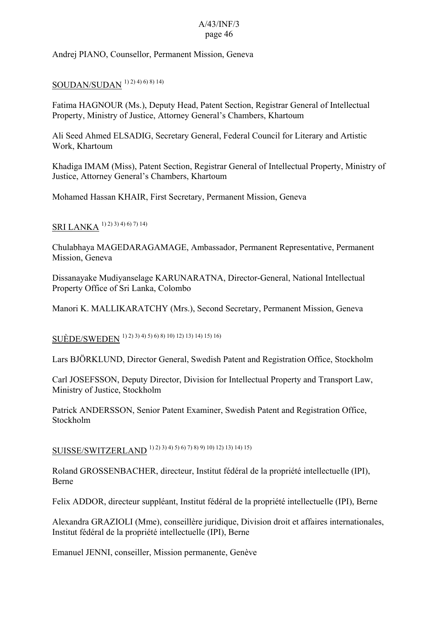Andrej PIANO, Counsellor, Permanent Mission, Geneva

# SOUDAN/SUDAN <sup>1) 2) 4) 6) 8) 14)</sup>

Fatima HAGNOUR (Ms.), Deputy Head, Patent Section, Registrar General of Intellectual Property, Ministry of Justice, Attorney General's Chambers, Khartoum

Ali Seed Ahmed ELSADIG, Secretary General, Federal Council for Literary and Artistic Work, Khartoum

Khadiga IMAM (Miss), Patent Section, Registrar General of Intellectual Property, Ministry of Justice, Attorney General's Chambers, Khartoum

Mohamed Hassan KHAIR, First Secretary, Permanent Mission, Geneva

# SRI LANKA<sup>1</sup>)<sup>2</sup>)<sup>3</sup>)<sup>4</sup>)<sup>6</sup>)7)<sup>14</sup>)

Chulabhaya MAGEDARAGAMAGE, Ambassador, Permanent Representative, Permanent Mission, Geneva

Dissanayake Mudiyanselage KARUNARATNA, Director-General, National Intellectual Property Office of Sri Lanka, Colombo

Manori K. MALLIKARATCHY (Mrs.), Second Secretary, Permanent Mission, Geneva

SUÈDE/SWEDEN 1) 2) 3) 4) 5) 6) 8) 10) 12) 13) 14) 15) 16)

Lars BJÖRKLUND, Director General, Swedish Patent and Registration Office, Stockholm

Carl JOSEFSSON, Deputy Director, Division for Intellectual Property and Transport Law, Ministry of Justice, Stockholm

Patrick ANDERSSON, Senior Patent Examiner, Swedish Patent and Registration Office, Stockholm

SUISSE/SWITZERLAND 1) 2) 3) 4) 5) 6) 7) 8) 9) 10) 12) 13) 14) 15)

Roland GROSSENBACHER, directeur, Institut fédéral de la propriété intellectuelle (IPI), Berne

Felix ADDOR, directeur suppléant, Institut fédéral de la propriété intellectuelle (IPI), Berne

Alexandra GRAZIOLI (Mme), conseillère juridique, Division droit et affaires internationales, Institut fédéral de la propriété intellectuelle (IPI), Berne

Emanuel JENNI, conseiller, Mission permanente, Genève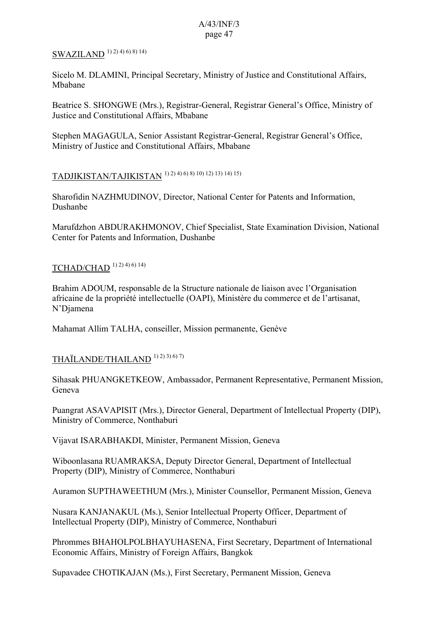# SWAZILAND<sup>1) 2) 4) 6) 8) 14)</sup>

Sicelo M. DLAMINI, Principal Secretary, Ministry of Justice and Constitutional Affairs, Mbabane

Beatrice S. SHONGWE (Mrs.), Registrar-General, Registrar General's Office, Ministry of Justice and Constitutional Affairs, Mbabane

Stephen MAGAGULA, Senior Assistant Registrar-General, Registrar General's Office, Ministry of Justice and Constitutional Affairs, Mbabane

# TADJIKISTAN/TAJIKISTAN 1) 2) 4) 6) 8) 10) 12) 13) 14) 15)

Sharofidin NAZHMUDINOV, Director, National Center for Patents and Information, Dushanbe

Marufdzhon ABDURAKHMONOV, Chief Specialist, State Examination Division, National Center for Patents and Information, Dushanbe

### TCHAD/CHAD 1) 2) 4) 6) 14)

Brahim ADOUM, responsable de la Structure nationale de liaison avec l'Organisation africaine de la propriété intellectuelle (OAPI), Ministère du commerce et de l'artisanat, N'Djamena

Mahamat Allim TALHA, conseiller, Mission permanente, Genève

## THAÏLANDE/THAILAND 1) 2) 3) 6) 7)

Sihasak PHUANGKETKEOW, Ambassador, Permanent Representative, Permanent Mission, Geneva

Puangrat ASAVAPISIT (Mrs.), Director General, Department of Intellectual Property (DIP), Ministry of Commerce, Nonthaburi

Vijavat ISARABHAKDI, Minister, Permanent Mission, Geneva

Wiboonlasana RUAMRAKSA, Deputy Director General, Department of Intellectual Property (DIP), Ministry of Commerce, Nonthaburi

Auramon SUPTHAWEETHUM (Mrs.), Minister Counsellor, Permanent Mission, Geneva

Nusara KANJANAKUL (Ms.), Senior Intellectual Property Officer, Department of Intellectual Property (DIP), Ministry of Commerce, Nonthaburi

Phrommes BHAHOLPOLBHAYUHASENA, First Secretary, Department of International Economic Affairs, Ministry of Foreign Affairs, Bangkok

Supavadee CHOTIKAJAN (Ms.), First Secretary, Permanent Mission, Geneva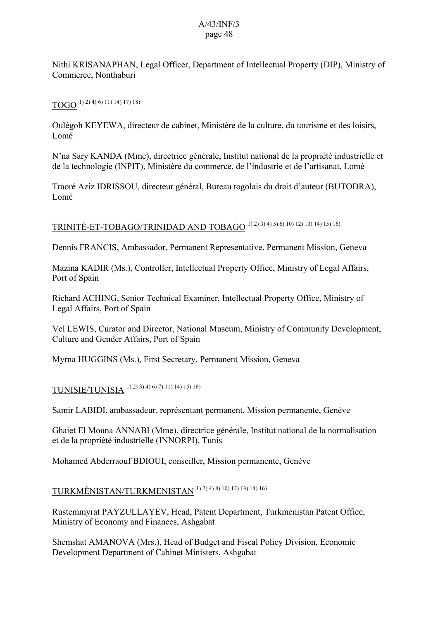Nithi KRISANAPHAN, Legal Officer, Department of Intellectual Property (DIP), Ministry of Commerce, Nonthaburi

# $TOGO<sup>1) 2) 4) 6) 11) 14) 17) 18)</sup>$

Oulégoh KEYEWA, directeur de cabinet, Ministère de la culture, du tourisme et des loisirs, Lomé

N'na Sary KANDA (Mme), directrice générale, Institut national de la propriété industrielle et de la technologie (INPIT), Ministère du commerce, de l'industrie et de l'artisanat, Lomé

Traoré Aziz IDRISSOU, directeur général, Bureau togolais du droit d'auteur (BUTODRA), Lomé

# TRINITÉ-ET-TOBAGO/TRINIDAD AND TOBAGO 1) 2) 3) 4) 5) 6) 10) 12) 13) 14) 15) 16)

Dennis FRANCIS, Ambassador, Permanent Representative, Permanent Mission, Geneva

Mazina KADIR (Ms.), Controller, Intellectual Property Office, Ministry of Legal Affairs, Port of Spain

Richard ACHING, Senior Technical Examiner, Intellectual Property Office, Ministry of Legal Affairs, Port of Spain

Vel LEWIS, Curator and Director, National Museum, Ministry of Community Development, Culture and Gender Affairs, Port of Spain

Myrna HUGGINS (Ms.), First Secretary, Permanent Mission, Geneva

## TUNISIE/TUNISIA 1) 2) 3) 4) 6) 7) 11) 14) 15) 16)

Samir LABIDI, ambassadeur, représentant permanent, Mission permanente, Genève

Ghaiet El Mouna ANNABI (Mme), directrice générale, Institut national de la normalisation et de la propriété industrielle (INNORPI), Tunis

Mohamed Abderraouf BDIOUI, conseiller, Mission permanente, Genève

# TURKMÉNISTAN/TURKMENISTAN 1) 2) 4) 8) 10) 12) 13) 14) 16)

Rustemmyrat PAYZULLAYEV, Head, Patent Department, Turkmenistan Patent Office, Ministry of Economy and Finances, Ashgabat

Shemshat AMANOVA (Mrs.), Head of Budget and Fiscal Policy Division, Economic Development Department of Cabinet Ministers, Ashgabat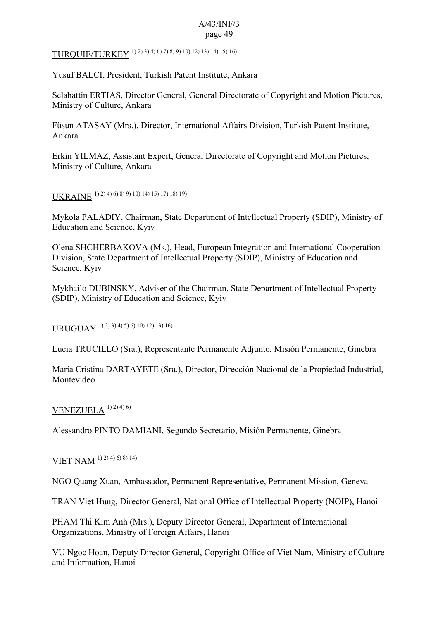TURQUIE/TURKEY 1) 2) 3) 4) 6) 7) 8) 9) 10) 12) 13) 14) 15) 16)

Yusuf BALCI, President, Turkish Patent Institute, Ankara

Selahattin ERTIAS, Director General, General Directorate of Copyright and Motion Pictures, Ministry of Culture, Ankara

Füsun ATASAY (Mrs.), Director, International Affairs Division, Turkish Patent Institute, Ankara

Erkin YILMAZ, Assistant Expert, General Directorate of Copyright and Motion Pictures, Ministry of Culture, Ankara

UKRAINE 1) 2) 4) 6) 8) 9) 10) 14) 15) 17) 18) 19)

Mykola PALADIY, Chairman, State Department of Intellectual Property (SDIP), Ministry of Education and Science, Kyiv

Olena SHCHERBAKOVA (Ms.), Head, European Integration and International Cooperation Division, State Department of Intellectual Property (SDIP), Ministry of Education and Science, Kyiv

Mykhailo DUBINSKY, Adviser of the Chairman, State Department of Intellectual Property (SDIP), Ministry of Education and Science, Kyiv

URUGUAY 1) 2) 3) 4) 5) 6) 10) 12) 13) 16)

Lucia TRUCILLO (Sra.), Representante Permanente Adjunto, Misión Permanente, Ginebra

María Cristina DARTAYETE (Sra.), Director, Dirección Nacional de la Propiedad Industrial, Montevideo

#### **VENEZUELA**  $^{1})$   $^{2})$   $^{4})$   $^{6)}$

Alessandro PINTO DAMIANI, Segundo Secretario, Misión Permanente, Ginebra

# VIET NAM 1) 2) 4) 6) 8) 14)

NGO Quang Xuan, Ambassador, Permanent Representative, Permanent Mission, Geneva

TRAN Viet Hung, Director General, National Office of Intellectual Property (NOIP), Hanoi

PHAM Thi Kim Anh (Mrs.), Deputy Director General, Department of International Organizations, Ministry of Foreign Affairs, Hanoi

VU Ngoc Hoan, Deputy Director General, Copyright Office of Viet Nam, Ministry of Culture and Information, Hanoi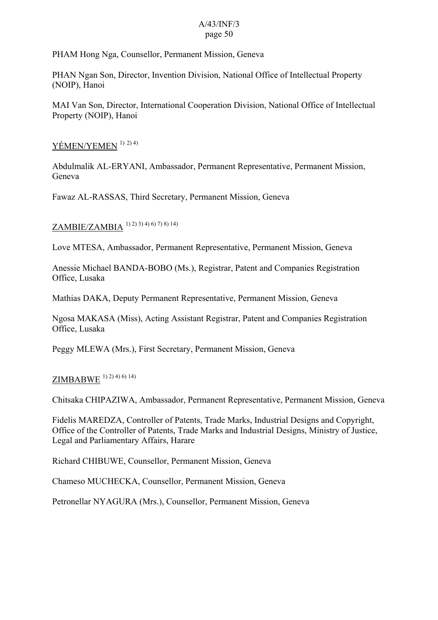PHAM Hong Nga, Counsellor, Permanent Mission, Geneva

PHAN Ngan Son, Director, Invention Division, National Office of Intellectual Property (NOIP), Hanoi

MAI Van Son, Director, International Cooperation Division, National Office of Intellectual Property (NOIP), Hanoi

### YÉMEN/YEMEN <sup>1) 2) 4)</sup>

Abdulmalik AL-ERYANI, Ambassador, Permanent Representative, Permanent Mission, Geneva

Fawaz AL-RASSAS, Third Secretary, Permanent Mission, Geneva

ZAMBIE/ZAMBIA 1) 2) 3) 4) 6) 7) 8) 14)

Love MTESA, Ambassador, Permanent Representative, Permanent Mission, Geneva

Anessie Michael BANDA-BOBO (Ms.), Registrar, Patent and Companies Registration Office, Lusaka

Mathias DAKA, Deputy Permanent Representative, Permanent Mission, Geneva

Ngosa MAKASA (Miss), Acting Assistant Registrar, Patent and Companies Registration Office, Lusaka

Peggy MLEWA (Mrs.), First Secretary, Permanent Mission, Geneva

# $ZIMBAB$ WE  $(1)$  2) 4) 6) 14)

Chitsaka CHIPAZIWA, Ambassador, Permanent Representative, Permanent Mission, Geneva

Fidelis MAREDZA, Controller of Patents, Trade Marks, Industrial Designs and Copyright, Office of the Controller of Patents, Trade Marks and Industrial Designs, Ministry of Justice, Legal and Parliamentary Affairs, Harare

Richard CHIBUWE, Counsellor, Permanent Mission, Geneva

Chameso MUCHECKA, Counsellor, Permanent Mission, Geneva

Petronellar NYAGURA (Mrs.), Counsellor, Permanent Mission, Geneva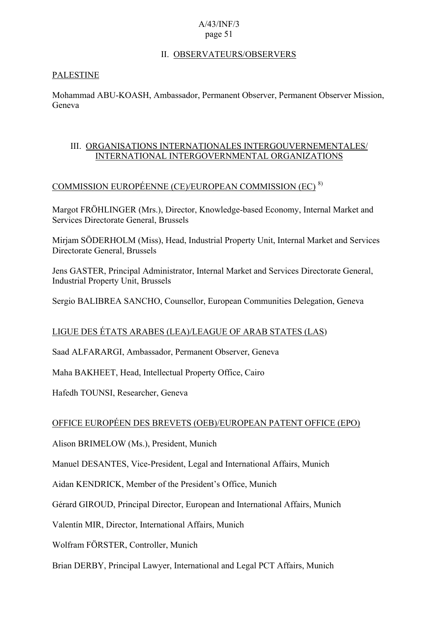### II. OBSERVATEURS/OBSERVERS

#### PALESTINE

Mohammad ABU-KOASH, Ambassador, Permanent Observer, Permanent Observer Mission, Geneva

### III. ORGANISATIONS INTERNATIONALES INTERGOUVERNEMENTALES/ INTERNATIONAL INTERGOVERNMENTAL ORGANIZATIONS

### COMMISSION EUROPÉENNE (CE)/EUROPEAN COMMISSION (EC) 8)

Margot FRÖHLINGER (Mrs.), Director, Knowledge-based Economy, Internal Market and Services Directorate General, Brussels

Mirjam SÖDERHOLM (Miss), Head, Industrial Property Unit, Internal Market and Services Directorate General, Brussels

Jens GASTER, Principal Administrator, Internal Market and Services Directorate General, Industrial Property Unit, Brussels

Sergio BALIBREA SANCHO, Counsellor, European Communities Delegation, Geneva

### LIGUE DES ÉTATS ARABES (LEA)/LEAGUE OF ARAB STATES (LAS)

Saad ALFARARGI, Ambassador, Permanent Observer, Geneva

Maha BAKHEET, Head, Intellectual Property Office, Cairo

Hafedh TOUNSI, Researcher, Geneva

#### OFFICE EUROPÉEN DES BREVETS (OEB)/EUROPEAN PATENT OFFICE (EPO)

Alison BRIMELOW (Ms.), President, Munich

Manuel DESANTES, Vice-President, Legal and International Affairs, Munich

Aidan KENDRICK, Member of the President's Office, Munich

Gérard GIROUD, Principal Director, European and International Affairs, Munich

Valentín MIR, Director, International Affairs, Munich

Wolfram FÖRSTER, Controller, Munich

Brian DERBY, Principal Lawyer, International and Legal PCT Affairs, Munich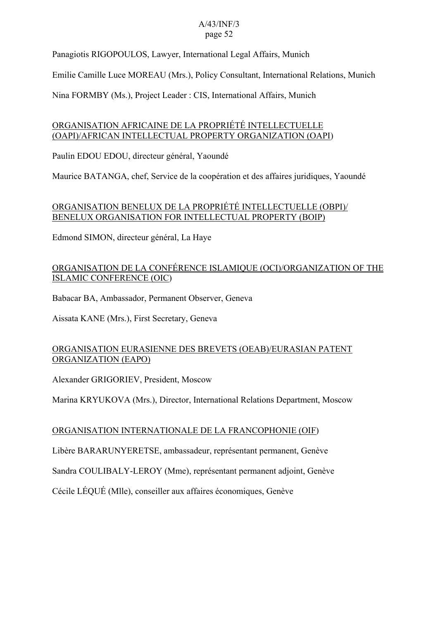Panagiotis RIGOPOULOS, Lawyer, International Legal Affairs, Munich

Emilie Camille Luce MOREAU (Mrs.), Policy Consultant, International Relations, Munich

Nina FORMBY (Ms.), Project Leader : CIS, International Affairs, Munich

### ORGANISATION AFRICAINE DE LA PROPRIÉTÉ INTELLECTUELLE (OAPI)/AFRICAN INTELLECTUAL PROPERTY ORGANIZATION (OAPI)

Paulin EDOU EDOU, directeur général, Yaoundé

Maurice BATANGA, chef, Service de la coopération et des affaires juridiques, Yaoundé

### ORGANISATION BENELUX DE LA PROPRIÉTÉ INTELLECTUELLE (OBPI)/ BENELUX ORGANISATION FOR INTELLECTUAL PROPERTY (BOIP)

Edmond SIMON, directeur général, La Haye

### ORGANISATION DE LA CONFÉRENCE ISLAMIQUE (OCI)/ORGANIZATION OF THE ISLAMIC CONFERENCE (OIC)

Babacar BA, Ambassador, Permanent Observer, Geneva

Aissata KANE (Mrs.), First Secretary, Geneva

### ORGANISATION EURASIENNE DES BREVETS (OEAB)/EURASIAN PATENT ORGANIZATION (EAPO)

Alexander GRIGORIEV, President, Moscow

Marina KRYUKOVA (Mrs.), Director, International Relations Department, Moscow

### ORGANISATION INTERNATIONALE DE LA FRANCOPHONIE (OIF)

Libère BARARUNYERETSE, ambassadeur, représentant permanent, Genève

Sandra COULIBALY-LEROY (Mme), représentant permanent adjoint, Genève

Cécile LÉQUÉ (Mlle), conseiller aux affaires économiques, Genève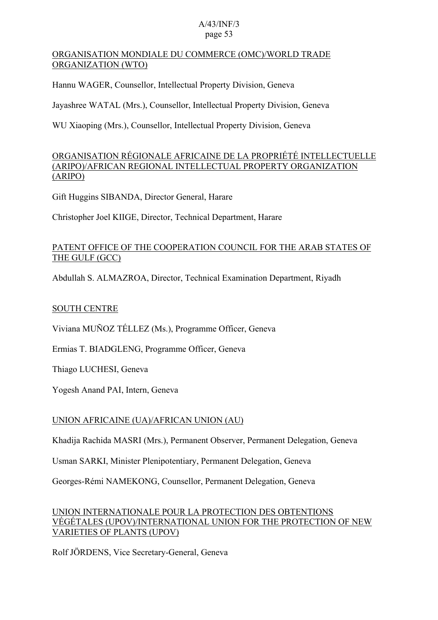### ORGANISATION MONDIALE DU COMMERCE (OMC)/WORLD TRADE ORGANIZATION (WTO)

Hannu WAGER, Counsellor, Intellectual Property Division, Geneva

Jayashree WATAL (Mrs.), Counsellor, Intellectual Property Division, Geneva

WU Xiaoping (Mrs.), Counsellor, Intellectual Property Division, Geneva

### ORGANISATION RÉGIONALE AFRICAINE DE LA PROPRIÉTÉ INTELLECTUELLE (ARIPO)/AFRICAN REGIONAL INTELLECTUAL PROPERTY ORGANIZATION (ARIPO)

Gift Huggins SIBANDA, Director General, Harare

Christopher Joel KIIGE, Director, Technical Department, Harare

### PATENT OFFICE OF THE COOPERATION COUNCIL FOR THE ARAB STATES OF THE GULF (GCC)

Abdullah S. ALMAZROA, Director, Technical Examination Department, Riyadh

### SOUTH CENTRE

Viviana MUÑOZ TÉLLEZ (Ms.), Programme Officer, Geneva

Ermias T. BIADGLENG, Programme Officer, Geneva

Thiago LUCHESI, Geneva

Yogesh Anand PAI, Intern, Geneva

### UNION AFRICAINE (UA)/AFRICAN UNION (AU)

Khadija Rachida MASRI (Mrs.), Permanent Observer, Permanent Delegation, Geneva

Usman SARKI, Minister Plenipotentiary, Permanent Delegation, Geneva

Georges-Rémi NAMEKONG, Counsellor, Permanent Delegation, Geneva

### UNION INTERNATIONALE POUR LA PROTECTION DES OBTENTIONS VÉGÉTALES (UPOV)/INTERNATIONAL UNION FOR THE PROTECTION OF NEW VARIETIES OF PLANTS (UPOV)

Rolf JÖRDENS, Vice Secretary-General, Geneva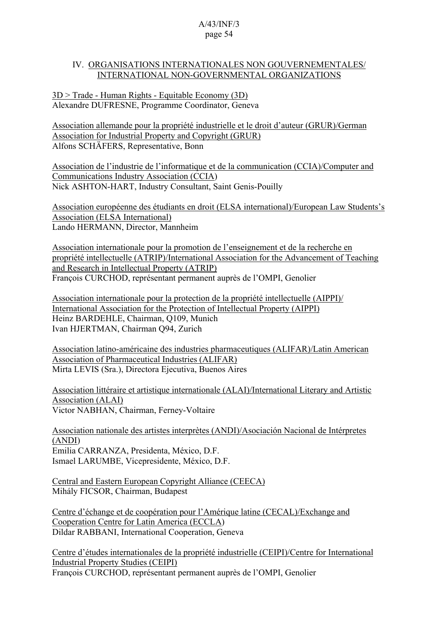### IV. ORGANISATIONS INTERNATIONALES NON GOUVERNEMENTALES/ INTERNATIONAL NON-GOVERNMENTAL ORGANIZATIONS

3D > Trade - Human Rights - Equitable Economy (3D) Alexandre DUFRESNE, Programme Coordinator, Geneva

Association allemande pour la propriété industrielle et le droit d'auteur (GRUR)/German Association for Industrial Property and Copyright (GRUR) Alfons SCHÄFERS, Representative, Bonn

Association de l'industrie de l'informatique et de la communication (CCIA)/Computer and Communications Industry Association (CCIA) Nick ASHTON-HART, Industry Consultant, Saint Genis-Pouilly

Association européenne des étudiants en droit (ELSA international)/European Law Students's Association (ELSA International) Lando HERMANN, Director, Mannheim

Association internationale pour la promotion de l'enseignement et de la recherche en propriété intellectuelle (ATRIP)/International Association for the Advancement of Teaching and Research in Intellectual Property (ATRIP) François CURCHOD, représentant permanent auprès de l'OMPI, Genolier

Association internationale pour la protection de la propriété intellectuelle (AIPPI)/ International Association for the Protection of Intellectual Property (AIPPI) Heinz BARDEHLE, Chairman, Q109, Munich Ivan HJERTMAN, Chairman Q94, Zurich

Association latino-américaine des industries pharmaceutiques (ALIFAR)/Latin American Association of Pharmaceutical Industries (ALIFAR) Mirta LEVIS (Sra.), Directora Ejecutiva, Buenos Aires

Association littéraire et artistique internationale (ALAI)/International Literary and Artistic Association (ALAI) Victor NABHAN, Chairman, Ferney-Voltaire

Association nationale des artistes interprètes (ANDI)/Asociación Nacional de Intérpretes (ANDI) Emilia CARRANZA, Presidenta, México, D.F. Ismael LARUMBE, Vicepresidente, México, D.F.

Central and Eastern European Copyright Alliance (CEECA) Mihály FICSOR, Chairman, Budapest

Centre d'échange et de coopération pour l'Amérique latine (CECAL)/Exchange and Cooperation Centre for Latin America (ECCLA) Dildar RABBANI, International Cooperation, Geneva

Centre d'études internationales de la propriété industrielle (CEIPI)/Centre for International Industrial Property Studies (CEIPI) François CURCHOD, représentant permanent auprès de l'OMPI, Genolier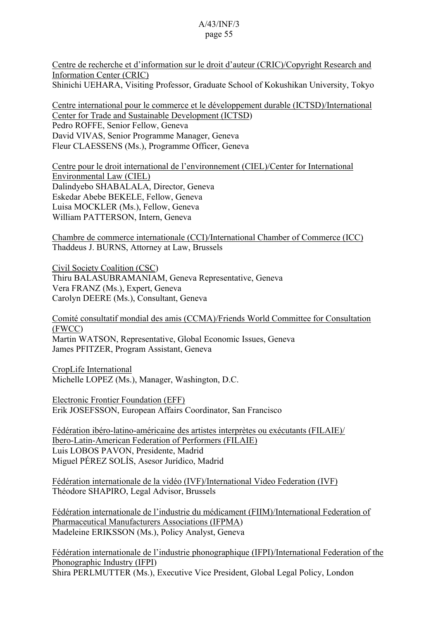Centre de recherche et d'information sur le droit d'auteur (CRIC)/Copyright Research and Information Center (CRIC) Shinichi UEHARA, Visiting Professor, Graduate School of Kokushikan University, Tokyo

Centre international pour le commerce et le développement durable (ICTSD)/International Center for Trade and Sustainable Development (ICTSD) Pedro ROFFE, Senior Fellow, Geneva David VIVAS, Senior Programme Manager, Geneva Fleur CLAESSENS (Ms.), Programme Officer, Geneva

Centre pour le droit international de l'environnement (CIEL)/Center for International Environmental Law (CIEL) Dalindyebo SHABALALA, Director, Geneva Eskedar Abebe BEKELE, Fellow, Geneva Luisa MOCKLER (Ms.), Fellow, Geneva William PATTERSON, Intern, Geneva

Chambre de commerce internationale (CCI)/International Chamber of Commerce (ICC) Thaddeus J. BURNS, Attorney at Law, Brussels

Civil Society Coalition (CSC) Thiru BALASUBRAMANIAM, Geneva Representative, Geneva Vera FRANZ (Ms.), Expert, Geneva Carolyn DEERE (Ms.), Consultant, Geneva

Comité consultatif mondial des amis (CCMA)/Friends World Committee for Consultation (FWCC) Martin WATSON, Representative, Global Economic Issues, Geneva James PFITZER, Program Assistant, Geneva

CropLife International Michelle LOPEZ (Ms.), Manager, Washington, D.C.

Electronic Frontier Foundation (EFF) Erik JOSEFSSON, European Affairs Coordinator, San Francisco

Fédération ibéro-latino-américaine des artistes interprètes ou exécutants (FILAIE)/ Ibero-Latin-American Federation of Performers (FILAIE) Luis LOBOS PAVON, Presidente, Madrid Miguel PÉREZ SOLÍS, Asesor Jurídico, Madrid

Fédération internationale de la vidéo (IVF)/International Video Federation (IVF) Théodore SHAPIRO, Legal Advisor, Brussels

Fédération internationale de l'industrie du médicament (FIIM)/International Federation of Pharmaceutical Manufacturers Associations (IFPMA) Madeleine ERIKSSON (Ms.), Policy Analyst, Geneva

Fédération internationale de l'industrie phonographique (IFPI)/International Federation of the Phonographic Industry (IFPI) Shira PERLMUTTER (Ms.), Executive Vice President, Global Legal Policy, London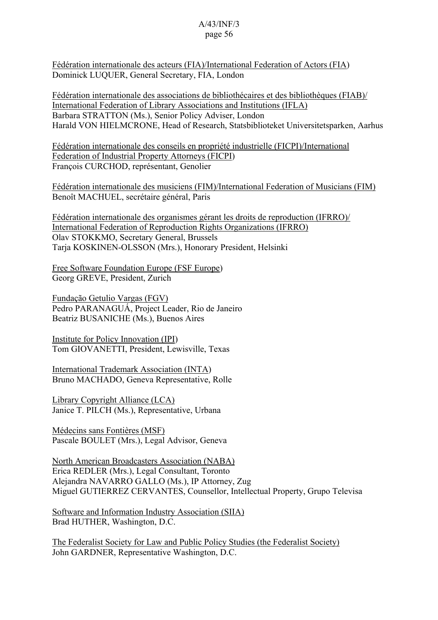Fédération internationale des acteurs (FIA)/International Federation of Actors (FIA) Dominick LUQUER, General Secretary, FIA, London

Fédération internationale des associations de bibliothécaires et des bibliothèques (FIAB)/ International Federation of Library Associations and Institutions (IFLA) Barbara STRATTON (Ms.), Senior Policy Adviser, London Harald VON HIELMCRONE, Head of Research, Statsbiblioteket Universitetsparken, Aarhus

Fédération internationale des conseils en propriété industrielle (FICPI)/International Federation of Industrial Property Attorneys (FICPI) François CURCHOD, représentant, Genolier

Fédération internationale des musiciens (FIM)/International Federation of Musicians (FIM) Benoît MACHUEL, secrétaire général, Paris

Fédération internationale des organismes gérant les droits de reproduction (IFRRO)/ International Federation of Reproduction Rights Organizations (IFRRO) Olav STOKKMO, Secretary General, Brussels Tarja KOSKINEN-OLSSON (Mrs.), Honorary President, Helsinki

Free Software Foundation Europe (FSF Europe) Georg GREVE, President, Zurich

Fundação Getulio Vargas (FGV) Pedro PARANAGUÁ, Project Leader, Rio de Janeiro Beatriz BUSANICHE (Ms.), Buenos Aires

Institute for Policy Innovation (IPI) Tom GIOVANETTI, President, Lewisville, Texas

International Trademark Association (INTA) Bruno MACHADO, Geneva Representative, Rolle

Library Copyright Alliance (LCA) Janice T. PILCH (Ms.), Representative, Urbana

Médecins sans Fontières (MSF) Pascale BOULET (Mrs.), Legal Advisor, Geneva

North American Broadcasters Association (NABA) Erica REDLER (Mrs.), Legal Consultant, Toronto Alejandra NAVARRO GALLO (Ms.), IP Attorney, Zug Miguel GUTIERREZ CERVANTES, Counsellor, Intellectual Property, Grupo Televisa

Software and Information Industry Association (SIIA) Brad HUTHER, Washington, D.C.

The Federalist Society for Law and Public Policy Studies (the Federalist Society) John GARDNER, Representative Washington, D.C.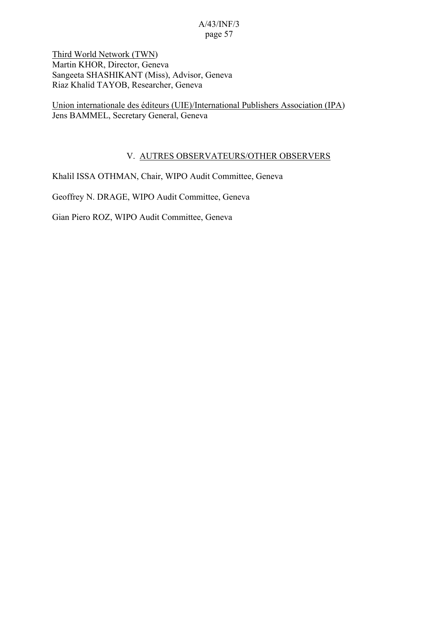Third World Network (TWN) Martin KHOR, Director, Geneva Sangeeta SHASHIKANT (Miss), Advisor, Geneva Riaz Khalid TAYOB, Researcher, Geneva

Union internationale des éditeurs (UIE)/International Publishers Association (IPA) Jens BAMMEL, Secretary General, Geneva

### V. AUTRES OBSERVATEURS/OTHER OBSERVERS

Khalil ISSA OTHMAN, Chair, WIPO Audit Committee, Geneva

Geoffrey N. DRAGE, WIPO Audit Committee, Geneva

Gian Piero ROZ, WIPO Audit Committee, Geneva